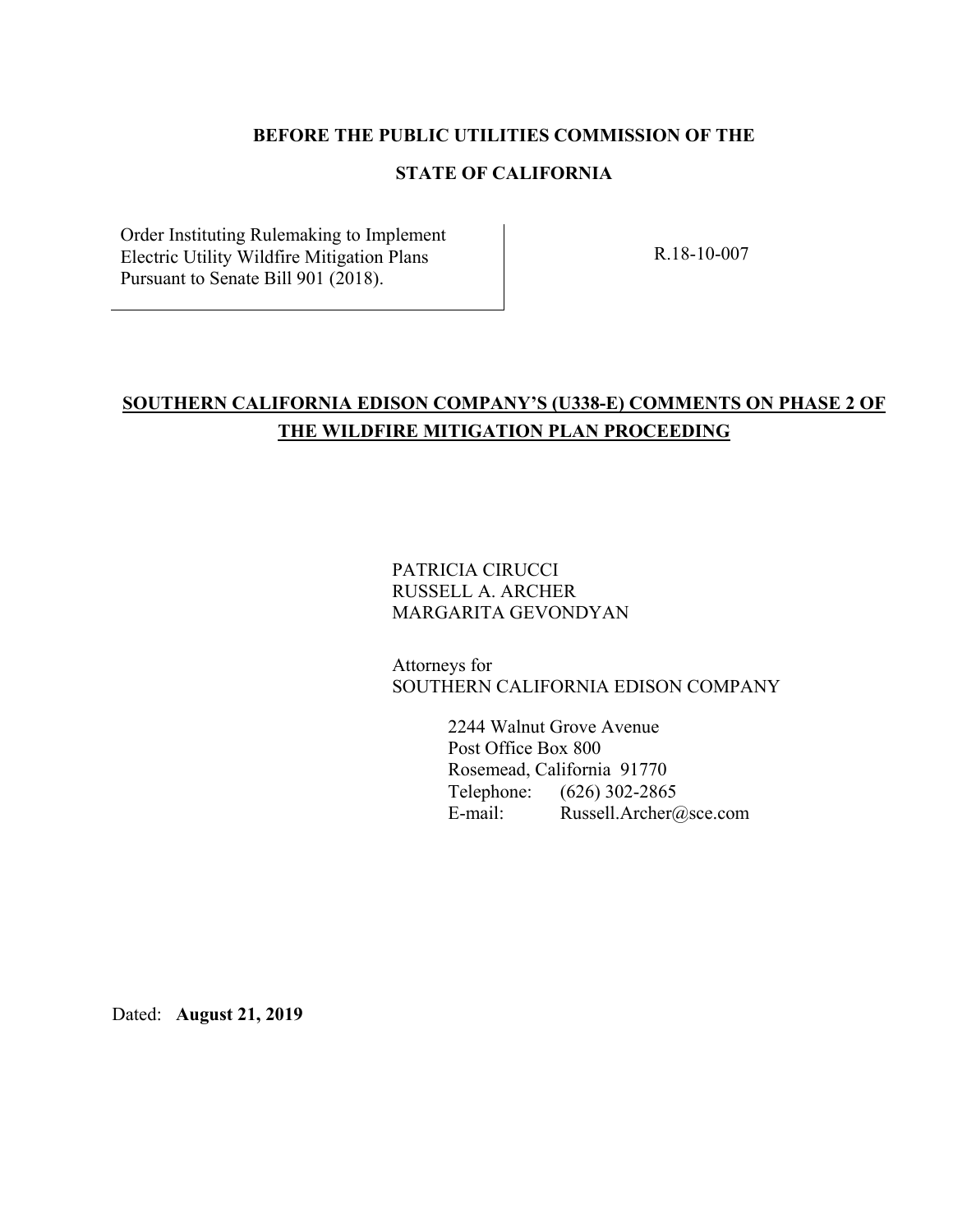## **BEFORE THE PUBLIC UTILITIES COMMISSION OF THE**

# **STATE OF CALIFORNIA**

Order Instituting Rulemaking to Implement Electric Utility Wildfire Mitigation Plans Pursuant to Senate Bill 901 (2018).

R.18-10-007

# **SOUTHERN CALIFORNIA EDISON COMPANY'S (U338-E) COMMENTS ON PHASE 2 OF THE WILDFIRE MITIGATION PLAN PROCEEDING**

PATRICIA CIRUCCI RUSSELL A. ARCHER MARGARITA GEVONDYAN

Attorneys for SOUTHERN CALIFORNIA EDISON COMPANY

> 2244 Walnut Grove Avenue Post Office Box 800 Rosemead, California 91770 Telephone: (626) 302-2865 E-mail: Russell.Archer@sce.com

Dated: **August 21, 2019**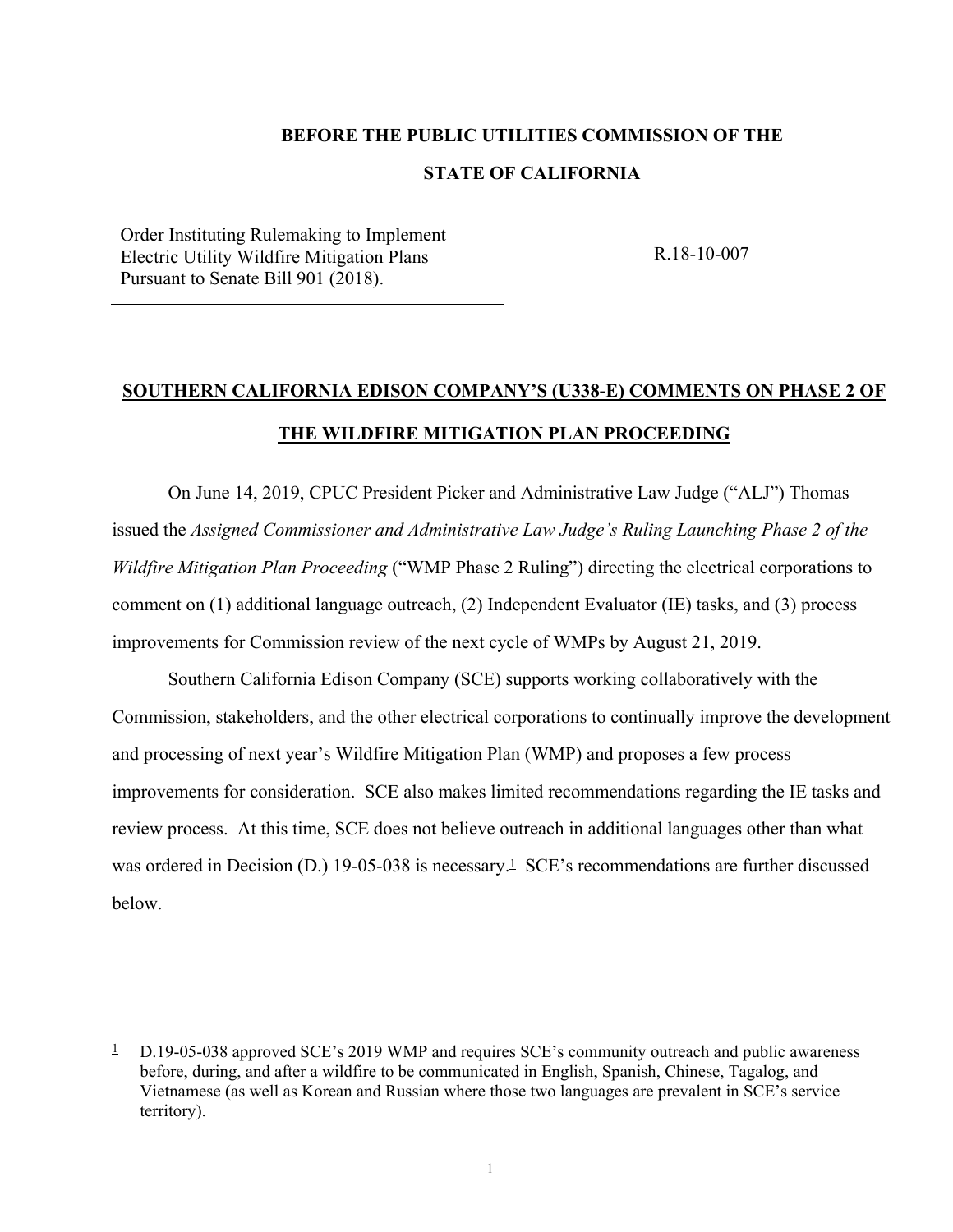# **BEFORE THE PUBLIC UTILITIES COMMISSION OF THE**

# **STATE OF CALIFORNIA**

Order Instituting Rulemaking to Implement Electric Utility Wildfire Mitigation Plans Pursuant to Senate Bill 901 (2018).

 $\overline{a}$ 

R.18-10-007

# **SOUTHERN CALIFORNIA EDISON COMPANY'S (U338-E) COMMENTS ON PHASE 2 OF THE WILDFIRE MITIGATION PLAN PROCEEDING**

On June 14, 2019, CPUC President Picker and Administrative Law Judge ("ALJ") Thomas issued the *Assigned Commissioner and Administrative Law Judge's Ruling Launching Phase 2 of the Wildfire Mitigation Plan Proceeding* ("WMP Phase 2 Ruling") directing the electrical corporations to comment on (1) additional language outreach, (2) Independent Evaluator (IE) tasks, and (3) process improvements for Commission review of the next cycle of WMPs by August 21, 2019.

Southern California Edison Company (SCE) supports working collaboratively with the Commission, stakeholders, and the other electrical corporations to continually improve the development and processing of next year's Wildfire Mitigation Plan (WMP) and proposes a few process improvements for consideration. SCE also makes limited recommendations regarding the IE tasks and review process. At this time, SCE does not believe outreach in additional languages other than what was ordered in Decision (D.) 19-05-038 is necessary.<sup>1</sup> SCE's recommendations are further discussed below.

<sup>&</sup>lt;sup>1</sup> D.19-05-038 approved SCE's 2019 WMP and requires SCE's community outreach and public awareness before, during, and after a wildfire to be communicated in English, Spanish, Chinese, Tagalog, and Vietnamese (as well as Korean and Russian where those two languages are prevalent in SCE's service territory).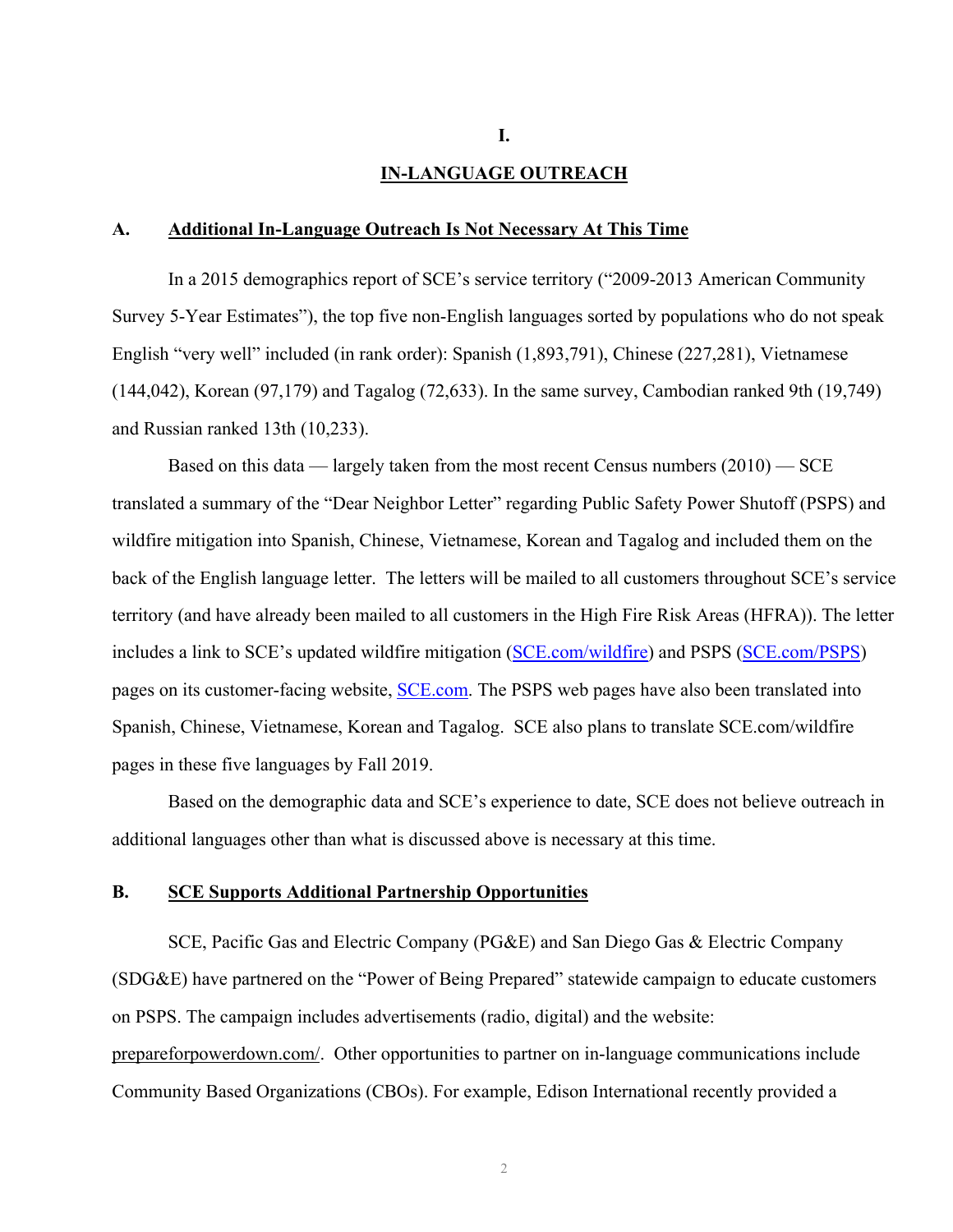#### **IN-LANGUAGE OUTREACH**

#### **A. Additional In-Language Outreach Is Not Necessary At This Time**

In a 2015 demographics report of SCE's service territory ("2009-2013 American Community Survey 5-Year Estimates"), the top five non-English languages sorted by populations who do not speak English "very well" included (in rank order): Spanish (1,893,791), Chinese (227,281), Vietnamese (144,042), Korean (97,179) and Tagalog (72,633). In the same survey, Cambodian ranked 9th (19,749) and Russian ranked 13th (10,233).

Based on this data — largely taken from the most recent Census numbers (2010) — SCE translated a summary of the "Dear Neighbor Letter" regarding Public Safety Power Shutoff (PSPS) and wildfire mitigation into Spanish, Chinese, Vietnamese, Korean and Tagalog and included them on the back of the English language letter. The letters will be mailed to all customers throughout SCE's service territory (and have already been mailed to all customers in the High Fire Risk Areas (HFRA)). The letter includes a link to SCE's updated wildfire mitigation (SCE.com/wildfire) and PSPS (SCE.com/PSPS) pages on its customer-facing website, **SCE.com**. The PSPS web pages have also been translated into Spanish, Chinese, Vietnamese, Korean and Tagalog. SCE also plans to translate SCE.com/wildfire pages in these five languages by Fall 2019.

Based on the demographic data and SCE's experience to date, SCE does not believe outreach in additional languages other than what is discussed above is necessary at this time.

#### **B. SCE Supports Additional Partnership Opportunities**

SCE, Pacific Gas and Electric Company (PG&E) and San Diego Gas & Electric Company (SDG&E) have partnered on the "Power of Being Prepared" statewide campaign to educate customers on PSPS. The campaign includes advertisements (radio, digital) and the website: prepareforpowerdown.com/. Other opportunities to partner on in-language communications include Community Based Organizations (CBOs). For example, Edison International recently provided a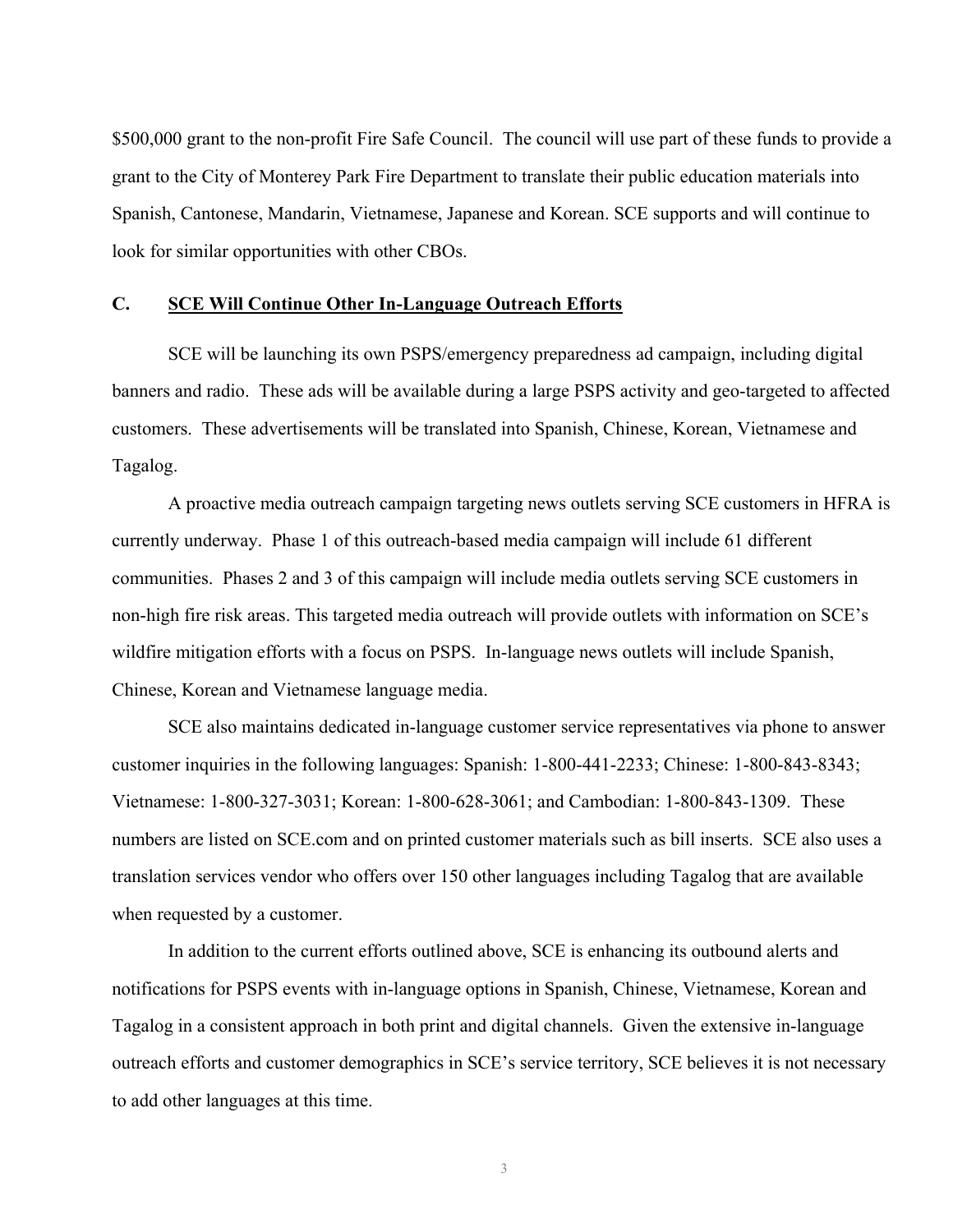\$500,000 grant to the non-profit Fire Safe Council. The council will use part of these funds to provide a grant to the City of Monterey Park Fire Department to translate their public education materials into Spanish, Cantonese, Mandarin, Vietnamese, Japanese and Korean. SCE supports and will continue to look for similar opportunities with other CBOs.

#### **C. SCE Will Continue Other In-Language Outreach Efforts**

SCE will be launching its own PSPS/emergency preparedness ad campaign, including digital banners and radio. These ads will be available during a large PSPS activity and geo-targeted to affected customers. These advertisements will be translated into Spanish, Chinese, Korean, Vietnamese and Tagalog.

A proactive media outreach campaign targeting news outlets serving SCE customers in HFRA is currently underway. Phase 1 of this outreach-based media campaign will include 61 different communities. Phases 2 and 3 of this campaign will include media outlets serving SCE customers in non-high fire risk areas. This targeted media outreach will provide outlets with information on SCE's wildfire mitigation efforts with a focus on PSPS. In-language news outlets will include Spanish, Chinese, Korean and Vietnamese language media.

SCE also maintains dedicated in-language customer service representatives via phone to answer customer inquiries in the following languages: Spanish: 1-800-441-2233; Chinese: 1-800-843-8343; Vietnamese: 1-800-327-3031; Korean: 1-800-628-3061; and Cambodian: 1-800-843-1309. These numbers are listed on SCE.com and on printed customer materials such as bill inserts. SCE also uses a translation services vendor who offers over 150 other languages including Tagalog that are available when requested by a customer.

In addition to the current efforts outlined above, SCE is enhancing its outbound alerts and notifications for PSPS events with in-language options in Spanish, Chinese, Vietnamese, Korean and Tagalog in a consistent approach in both print and digital channels. Given the extensive in-language outreach efforts and customer demographics in SCE's service territory, SCE believes it is not necessary to add other languages at this time.

3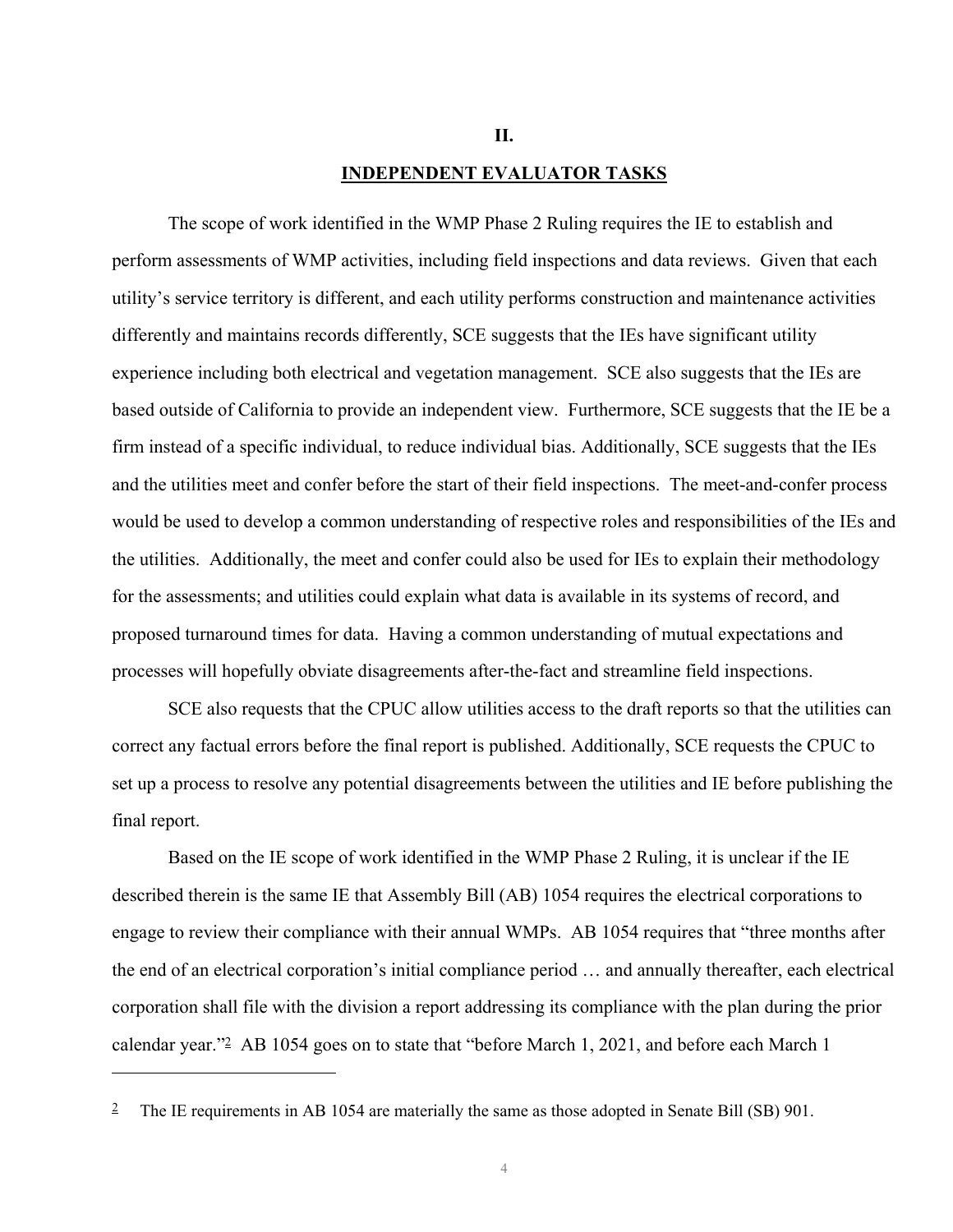#### **II.**

#### **INDEPENDENT EVALUATOR TASKS**

The scope of work identified in the WMP Phase 2 Ruling requires the IE to establish and perform assessments of WMP activities, including field inspections and data reviews. Given that each utility's service territory is different, and each utility performs construction and maintenance activities differently and maintains records differently, SCE suggests that the IEs have significant utility experience including both electrical and vegetation management. SCE also suggests that the IEs are based outside of California to provide an independent view. Furthermore, SCE suggests that the IE be a firm instead of a specific individual, to reduce individual bias. Additionally, SCE suggests that the IEs and the utilities meet and confer before the start of their field inspections. The meet-and-confer process would be used to develop a common understanding of respective roles and responsibilities of the IEs and the utilities. Additionally, the meet and confer could also be used for IEs to explain their methodology for the assessments; and utilities could explain what data is available in its systems of record, and proposed turnaround times for data. Having a common understanding of mutual expectations and processes will hopefully obviate disagreements after-the-fact and streamline field inspections.

SCE also requests that the CPUC allow utilities access to the draft reports so that the utilities can correct any factual errors before the final report is published. Additionally, SCE requests the CPUC to set up a process to resolve any potential disagreements between the utilities and IE before publishing the final report.

Based on the IE scope of work identified in the WMP Phase 2 Ruling, it is unclear if the IE described therein is the same IE that Assembly Bill (AB) 1054 requires the electrical corporations to engage to review their compliance with their annual WMPs. AB 1054 requires that "three months after the end of an electrical corporation's initial compliance period … and annually thereafter, each electrical corporation shall file with the division a report addressing its compliance with the plan during the prior calendar year."2 AB 1054 goes on to state that "before March 1, 2021, and before each March 1

 $\overline{a}$ 

<sup>&</sup>lt;sup>2</sup> The IE requirements in AB 1054 are materially the same as those adopted in Senate Bill (SB) 901.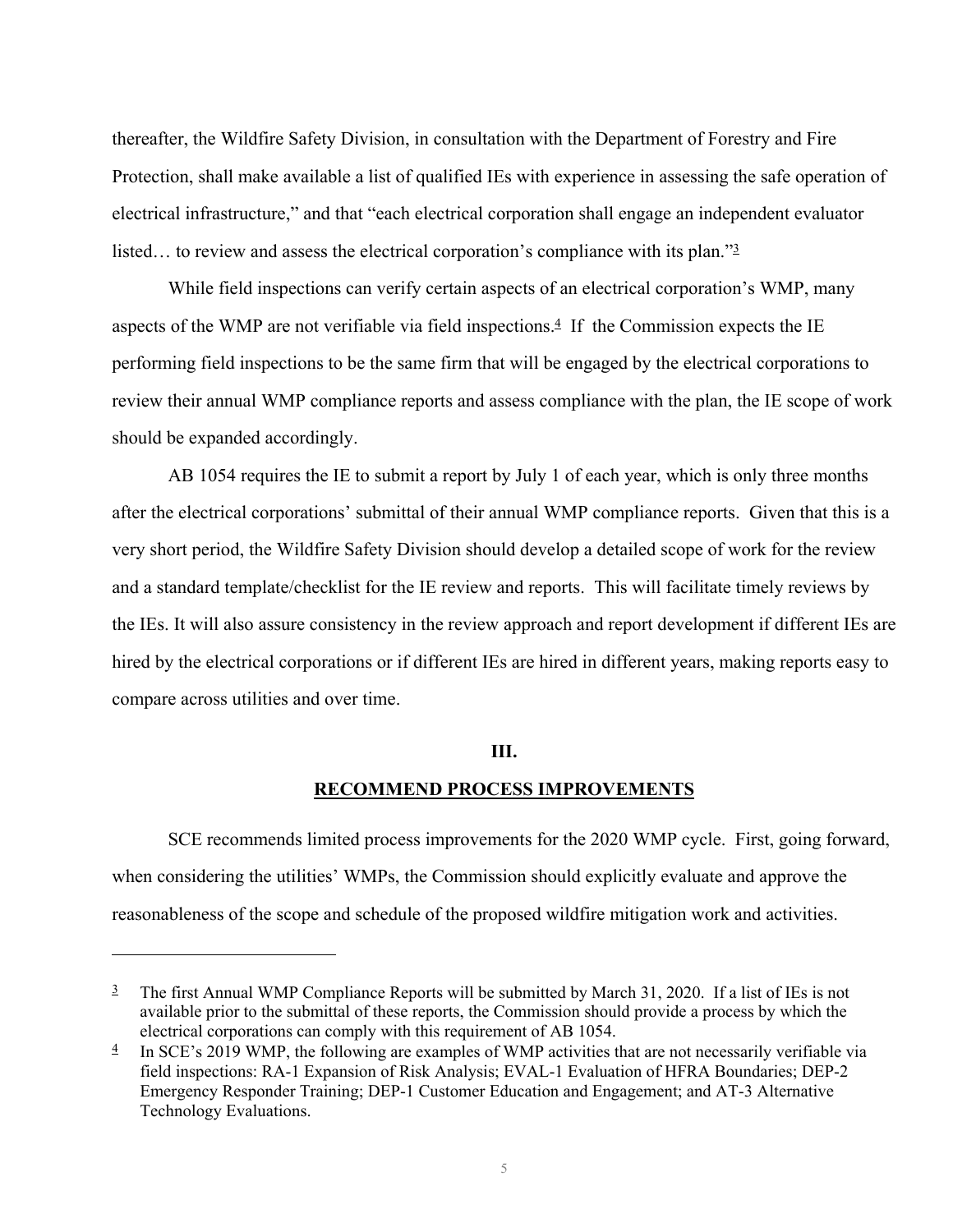thereafter, the Wildfire Safety Division, in consultation with the Department of Forestry and Fire Protection, shall make available a list of qualified IEs with experience in assessing the safe operation of electrical infrastructure," and that "each electrical corporation shall engage an independent evaluator listed... to review and assess the electrical corporation's compliance with its plan."<sup>3</sup>

While field inspections can verify certain aspects of an electrical corporation's WMP, many aspects of the WMP are not verifiable via field inspections. $4$  If the Commission expects the IE performing field inspections to be the same firm that will be engaged by the electrical corporations to review their annual WMP compliance reports and assess compliance with the plan, the IE scope of work should be expanded accordingly.

AB 1054 requires the IE to submit a report by July 1 of each year, which is only three months after the electrical corporations' submittal of their annual WMP compliance reports. Given that this is a very short period, the Wildfire Safety Division should develop a detailed scope of work for the review and a standard template/checklist for the IE review and reports. This will facilitate timely reviews by the IEs. It will also assure consistency in the review approach and report development if different IEs are hired by the electrical corporations or if different IEs are hired in different years, making reports easy to compare across utilities and over time.

#### **III.**

#### **RECOMMEND PROCESS IMPROVEMENTS**

SCE recommends limited process improvements for the 2020 WMP cycle. First, going forward, when considering the utilities' WMPs, the Commission should explicitly evaluate and approve the reasonableness of the scope and schedule of the proposed wildfire mitigation work and activities.

 $\overline{a}$ 

 $\frac{3}{2}$  The first Annual WMP Compliance Reports will be submitted by March 31, 2020. If a list of IEs is not available prior to the submittal of these reports, the Commission should provide a process by which the electrical corporations can comply with this requirement of AB 1054.

 $\frac{4}{1}$  In SCE's 2019 WMP, the following are examples of WMP activities that are not necessarily verifiable via field inspections: RA-1 Expansion of Risk Analysis; EVAL-1 Evaluation of HFRA Boundaries; DEP-2 Emergency Responder Training; DEP-1 Customer Education and Engagement; and AT-3 Alternative Technology Evaluations.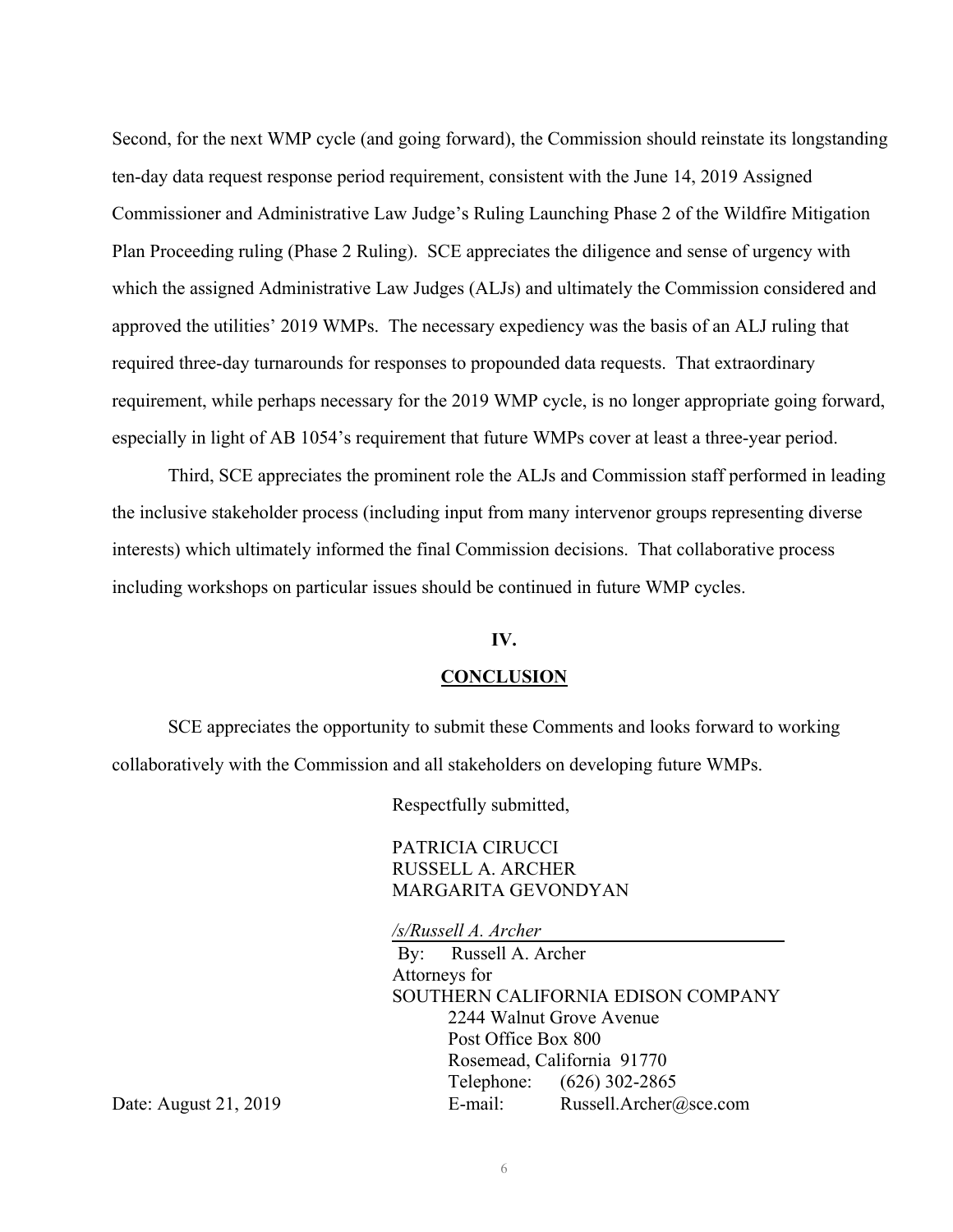Second, for the next WMP cycle (and going forward), the Commission should reinstate its longstanding ten-day data request response period requirement, consistent with the June 14, 2019 Assigned Commissioner and Administrative Law Judge's Ruling Launching Phase 2 of the Wildfire Mitigation Plan Proceeding ruling (Phase 2 Ruling). SCE appreciates the diligence and sense of urgency with which the assigned Administrative Law Judges (ALJs) and ultimately the Commission considered and approved the utilities' 2019 WMPs. The necessary expediency was the basis of an ALJ ruling that required three-day turnarounds for responses to propounded data requests. That extraordinary requirement, while perhaps necessary for the 2019 WMP cycle, is no longer appropriate going forward, especially in light of AB 1054's requirement that future WMPs cover at least a three-year period.

Third, SCE appreciates the prominent role the ALJs and Commission staff performed in leading the inclusive stakeholder process (including input from many intervenor groups representing diverse interests) which ultimately informed the final Commission decisions. That collaborative process including workshops on particular issues should be continued in future WMP cycles.

#### **IV.**

#### **CONCLUSION**

SCE appreciates the opportunity to submit these Comments and looks forward to working collaboratively with the Commission and all stakeholders on developing future WMPs.

Respectfully submitted,

PATRICIA CIRUCCI RUSSELL A. ARCHER MARGARITA GEVONDYAN

*/s/Russell A. Archer* 

By: Russell A. Archer Attorneys for SOUTHERN CALIFORNIA EDISON COMPANY 2244 Walnut Grove Avenue Post Office Box 800 Rosemead, California 91770 Telephone: (626) 302-2865 Date: August 21, 2019 E-mail: Russell.Archer@sce.com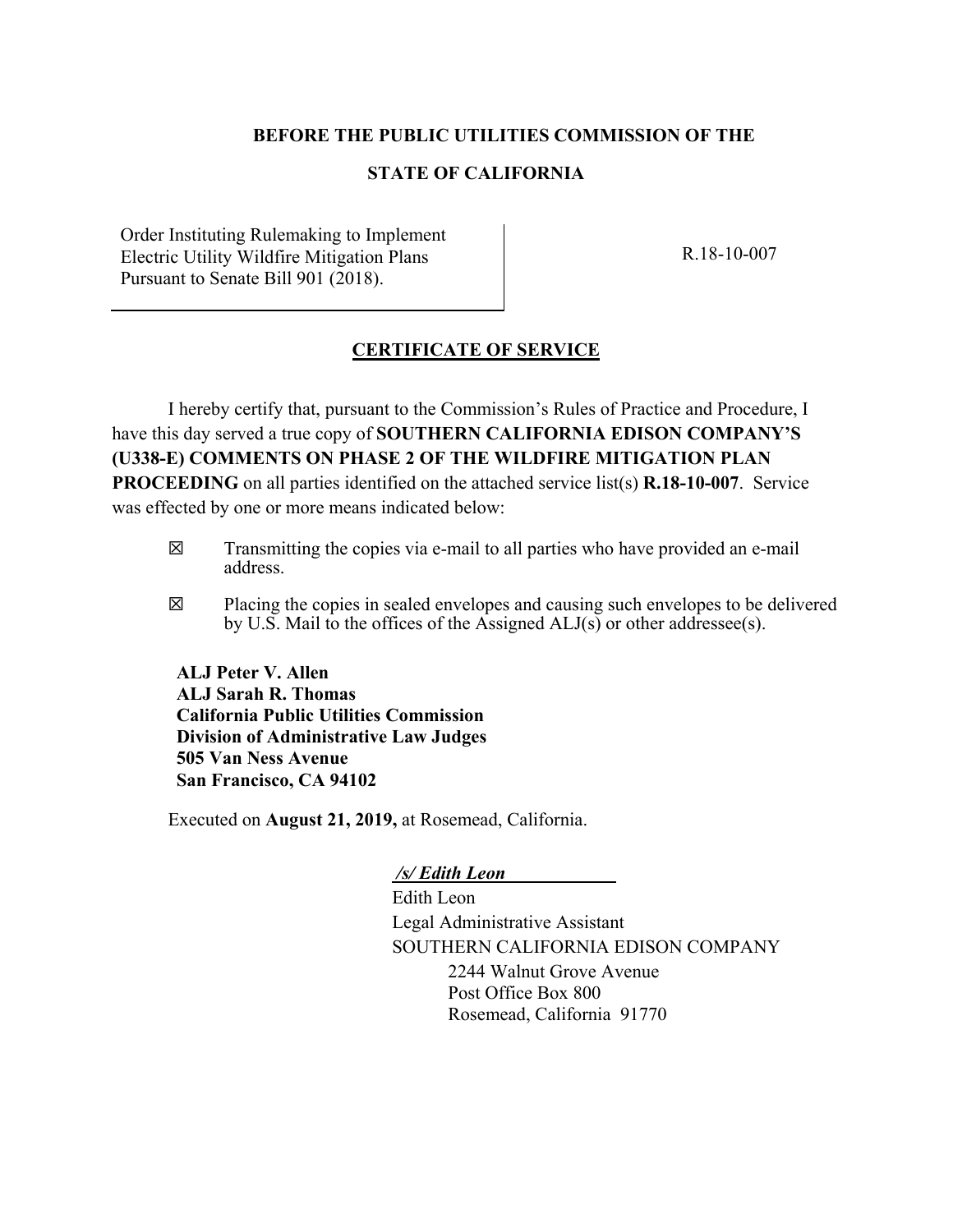## **BEFORE THE PUBLIC UTILITIES COMMISSION OF THE**

# **STATE OF CALIFORNIA**

Order Instituting Rulemaking to Implement Electric Utility Wildfire Mitigation Plans Pursuant to Senate Bill 901 (2018).

R.18-10-007

# **CERTIFICATE OF SERVICE**

I hereby certify that, pursuant to the Commission's Rules of Practice and Procedure, I have this day served a true copy of **SOUTHERN CALIFORNIA EDISON COMPANY'S (U338-E) COMMENTS ON PHASE 2 OF THE WILDFIRE MITIGATION PLAN PROCEEDING** on all parties identified on the attached service list(s) **R.18-10-007**. Service was effected by one or more means indicated below:

- **☒** Transmitting the copies via e-mail to all parties who have provided an e-mail address.
- **☒** Placing the copies in sealed envelopes and causing such envelopes to be delivered by U.S. Mail to the offices of the Assigned  $ALJ(s)$  or other addressee(s).

**ALJ Peter V. Allen ALJ Sarah R. Thomas California Public Utilities Commission Division of Administrative Law Judges 505 Van Ness Avenue San Francisco, CA 94102** 

Executed on **August 21, 2019,** at Rosemead, California.

 */s/ Edith Leon* 

Edith Leon Legal Administrative Assistant SOUTHERN CALIFORNIA EDISON COMPANY 2244 Walnut Grove Avenue Post Office Box 800 Rosemead, California 91770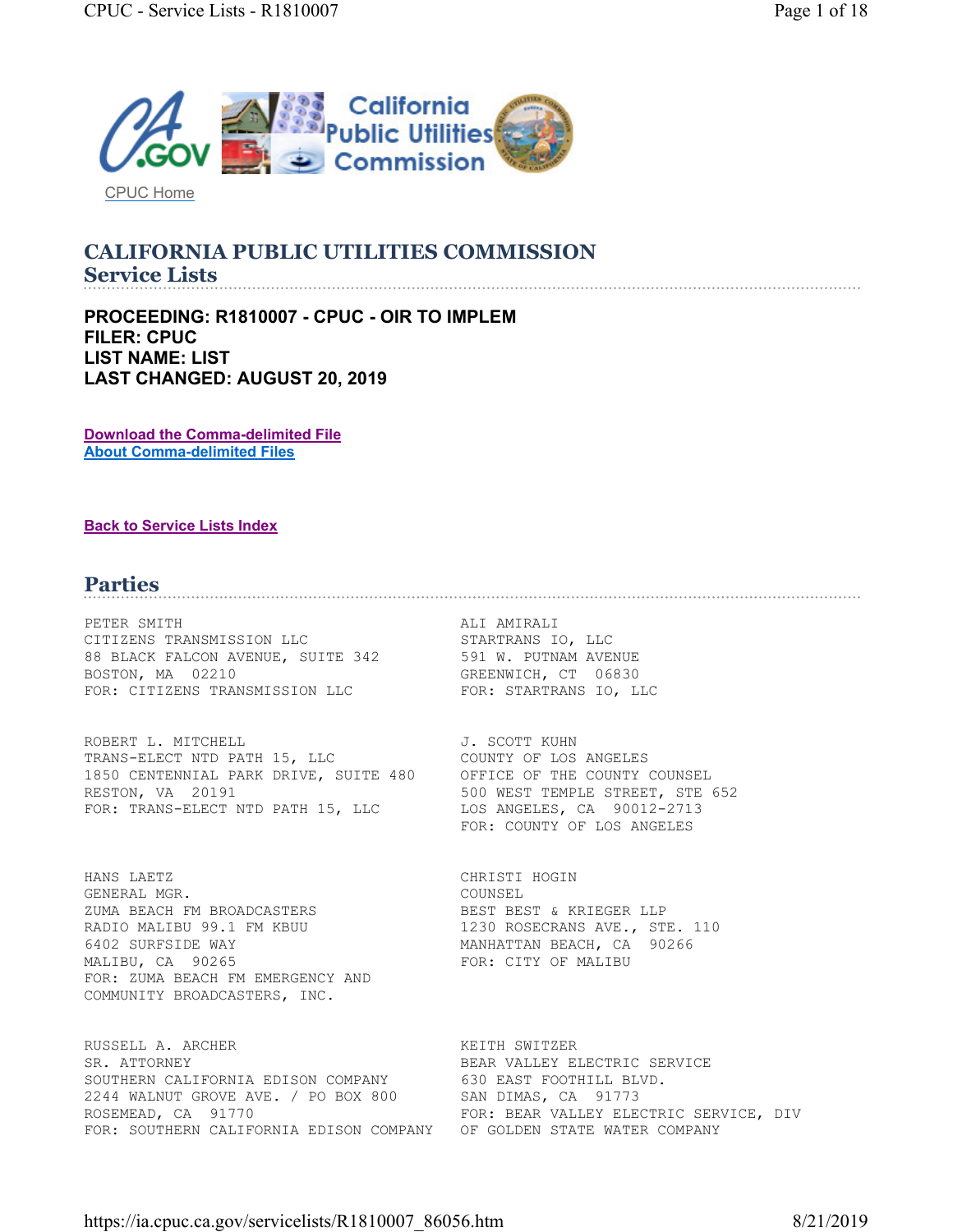

CPUC Home

#### **CALIFORNIA PUBLIC UTILITIES COMMISSION Service Lists**

**PROCEEDING: R1810007 - CPUC - OIR TO IMPLEM FILER: CPUC LIST NAME: LIST LAST CHANGED: AUGUST 20, 2019** 

**Download the Comma-delimited File About Comma-delimited Files** 

#### **Back to Service Lists Index**

# **Parties**

PETER SMITH **ALI AMIRALI** CITIZENS TRANSMISSION LLC<br>
88 BLACK FALCON AVENUE, SUITE 342 591 W. PUTNAM AVENUE CITIZENS TRANSFILSSION ALS<br>88 BLACK FALCON AVENUE, SUITE 342 BOSTON, MA 02210 GREENWICH, CT 06830 FOR: CITIZENS TRANSMISSION LLC FOR: STARTRANS IO, LLC

ROBERT L. MITCHELL **GALLACH CONTRACT CONTRACT SECOTT KUHN** TRANS-ELECT NTD PATH 15, LLC COUNTY OF LOS ANGELES 1850 CENTENNIAL PARK DRIVE, SUITE 480 OFFICE OF THE COUNTY COUNSEL RESTON, VA 20191 500 WEST TEMPLE STREET, STE 652 FOR: TRANS-ELECT NTD PATH 15, LLC LOS ANGELES, CA 90012-2713

HANS LAETZ CHRISTI HOGIN GENERAL MGR. COUNSEL ZUMA BEACH FM BROADCASTERS BEST BEST & KRIEGER LLP RADIO MALIBU 99.1 FM KBUU 1230 ROSECRANS AVE., STE. 110 6402 SURFSIDE WAY MANHATTAN BEACH, CA 90266 MALIBU, CA 90265 FOR: CITY OF MALIBU FOR: ZUMA BEACH FM EMERGENCY AND COMMUNITY BROADCASTERS, INC.

RUSSELL A. ARCHER KEITH SWITZER SR. ATTORNEY **BEAR VALLEY ELECTRIC SERVICE** SOUTHERN CALIFORNIA EDISON COMPANY 630 EAST FOOTHILL BLVD. 2244 WALNUT GROVE AVE. / PO BOX 800 SAN DIMAS, CA 91773 ROSEMEAD, CA 91770 FOR: BEAR VALLEY ELECTRIC SERVICE, DIV FOR: SOUTHERN CALIFORNIA EDISON COMPANY OF GOLDEN STATE WATER COMPANY

FOR: COUNTY OF LOS ANGELES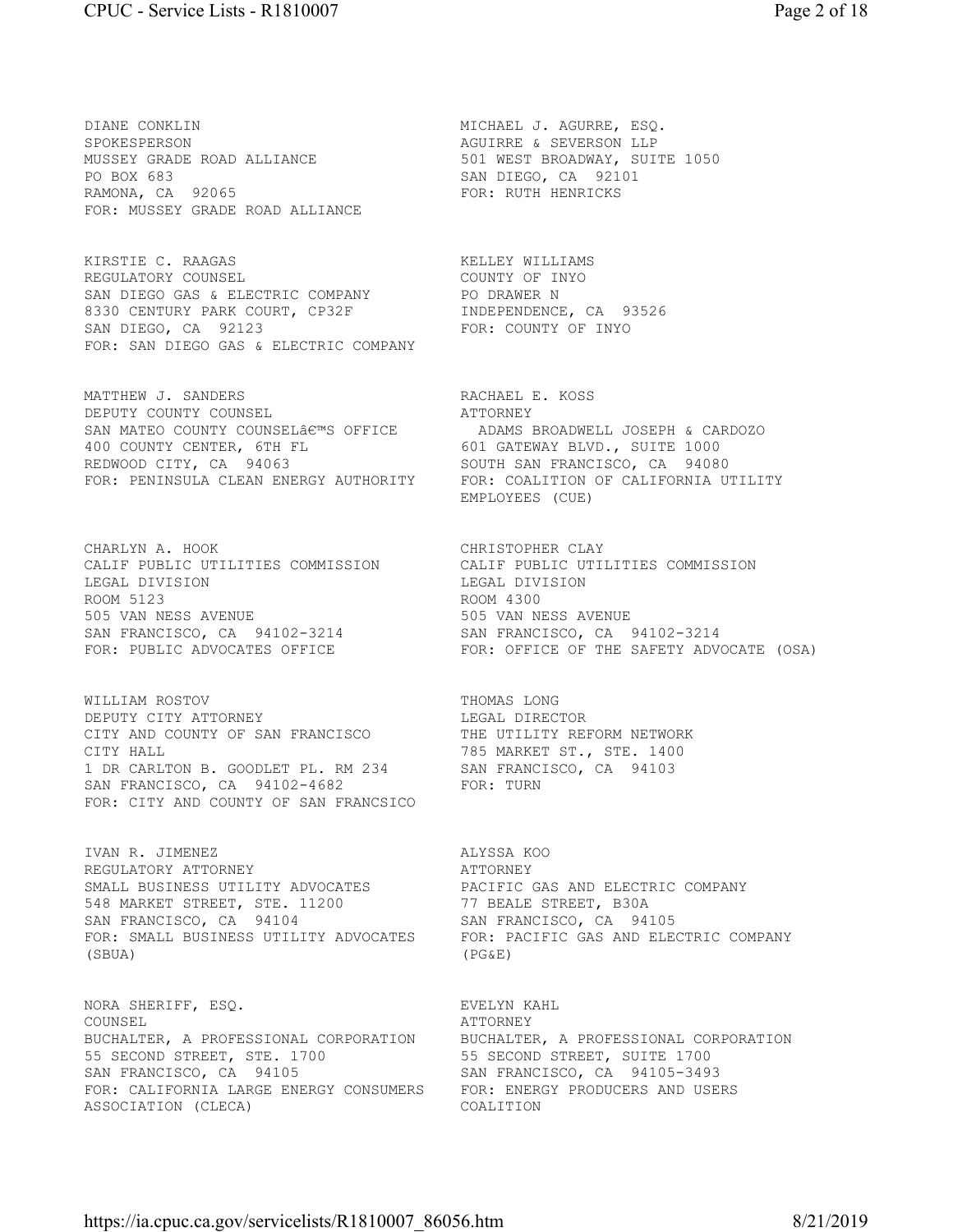DIANE CONKLIN DIANE CONKLIN MICHAEL J. AGURRE, ESQ. SPOKESPERSON AGUIRRE & SEVERSON LLP MUSSEY GRADE ROAD ALLIANCE 501 WEST BROADWAY, SUITE 1050 PO BOX 683 SAN DIEGO, CA 92101 RAMONA, CA 92065 FOR: RUTH HENRICKS FOR: MUSSEY GRADE ROAD ALLIANCE

KIRSTIE C. RAAGAS KELLEY WILLIAMS REGULATORY COUNSEL **Example 2018** COUNTY OF INYO SAN DIEGO GAS & ELECTRIC COMPANY **PO DRAWER N** 8330 CENTURY PARK COURT, CP32F INDEPENDENCE, CA 93526 SAN DIEGO, CA 92123 FOR: COUNTY OF INYO FOR: SAN DIEGO GAS & ELECTRIC COMPANY

MATTHEW J. SANDERS RACHAEL E. KOSS DEPUTY COUNTY COUNSEL READER ATTORNEY DEPUTY COUNTY COUNSEL **ATTORNEY** SAN MATEO COUNTY COUNSEL€™S OFFICE ADAMS BROADWELL JOSEPH & CARDOZO 400 COUNTY CENTER, 6TH FL 601 GATEWAY BLVD., SUITE 1000 REDWOOD CITY, CA 94063 SOUTH SAN FRANCISCO, CA 94080 FOR: PENINSULA CLEAN ENERGY AUTHORITY FOR: COALITION OF CALIFORNIA UTILITY

CALIF PUBLIC UTILITIES COMMISSION CALIF PUBLIC UTILITIES COMMISSION LEGAL DIVISION LEGAL DIVISION ROOM 5123 ROOM 4300 505 VAN NESS AVENUE 505 VAN NESS AVENUE SAN FRANCISCO, CA 94102-3214 SAN FRANCISCO, CA 94102-3214

WILLIAM ROSTOV **THOMAS** LONG DEPUTY CITY ATTORNEY **Example 19** LEGAL DIRECTOR CITY AND COUNTY OF SAN FRANCISCO THE UTILITY REFORM NETWORK CITY HALL **The CONSTRUCT ST., STE. 1400** 1 DR CARLTON B. GOODLET PL. RM 234 SAN FRANCISCO, CA 94103 SAN FRANCISCO, CA 94102-4682 FOR: TURN FOR: CITY AND COUNTY OF SAN FRANCSICO

IVAN R. JIMENEZ ALYSSA KOO REGULATORY ATTORNEY **ATTORNEY** SMALL BUSINESS UTILITY ADVOCATES PACIFIC GAS AND ELECTRIC COMPANY 548 MARKET STREET, STE. 11200 77 BEALE STREET, B30A SAN FRANCISCO, CA 94104 SAN FRANCISCO, CA 94105 FOR: SMALL BUSINESS UTILITY ADVOCATES FOR: PACIFIC GAS AND ELECTRIC COMPANY (SBUA) (PG&E)

NORA SHERIFF, ESO. THE SECOND SEVELYN KAHL COUNSEL COUNSEL BUCHALTER, A PROFESSIONAL CORPORATION BUCHALTER, A PROFESSIONAL CORPORATION 55 SECOND STREET, STE. 1700 55 SECOND STREET, SUITE 1700 SAN FRANCISCO, CA 94105 SAN FRANCISCO, CA 94105-3493 FOR: CALIFORNIA LARGE ENERGY CONSUMERS FOR: ENERGY PRODUCERS AND USERS ASSOCIATION (CLECA) COALITION

EMPLOYEES (CUE)

CHARLYN A. HOOK<br>CALIF PUBLIC UTILITIES COMMISSION CALIF PUBLIC UTILITIES COMMISSION FOR: PUBLIC ADVOCATES OFFICE FOR: OFFICE OF THE SAFETY ADVOCATE (OSA)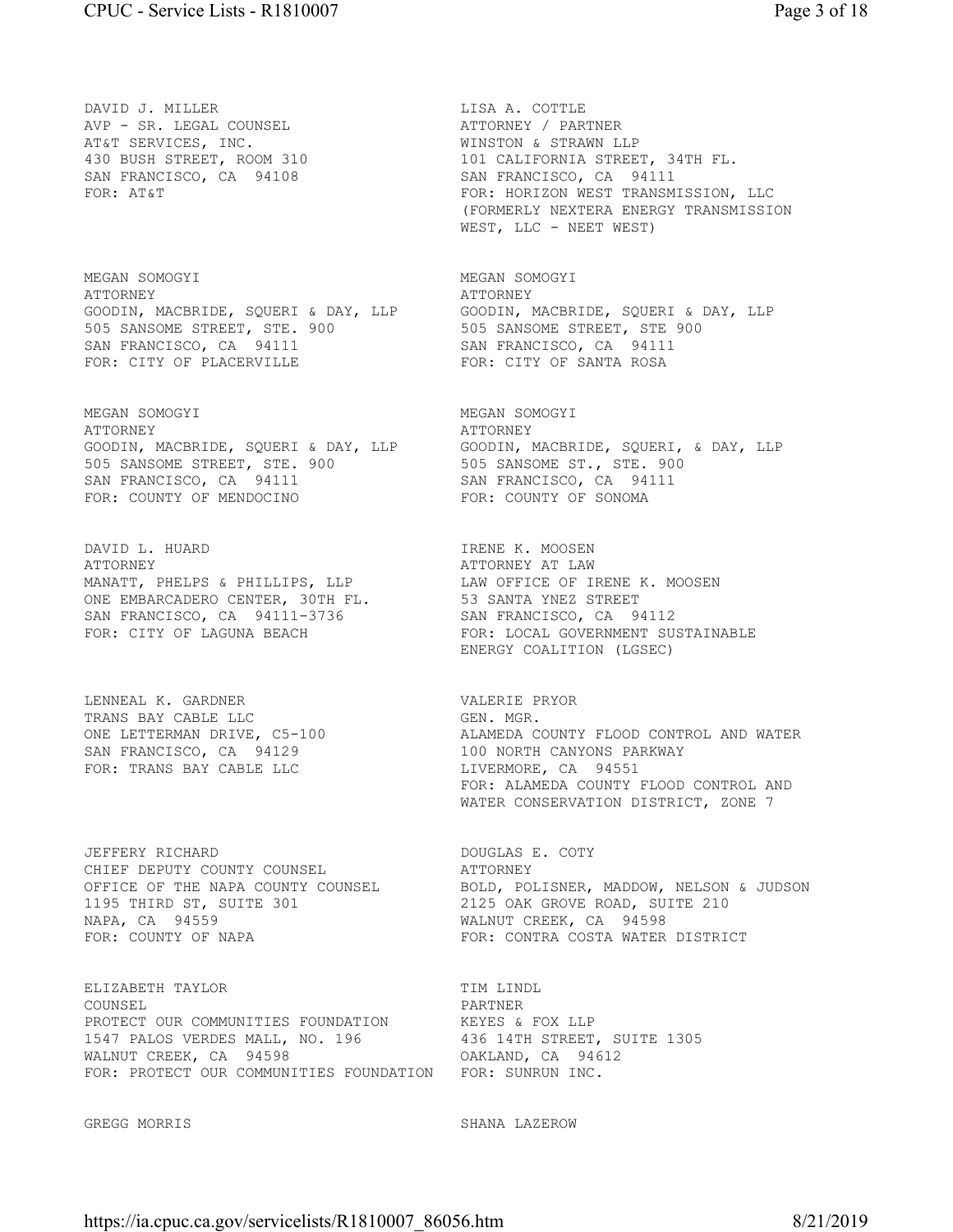DAVID J. MILLER<br>
AVP – SR. LEGAL COUNSEL<br>
ATTORNEY / PAR AVP - SR. LEGAL COUNSEL ATTORNEY / PARTNER AT&T SERVICES, INC. THE SERVICES INC. SAN FRANCISCO, CA 94108 SAN FRANCISCO, CA 94111

MEGAN SOMOGYI MEGAN SOMOGYI ATTORNEY ATTORNEY GOODIN, MACBRIDE, SQUERI & DAY, LLP GOODIN, MACBRIDE, SQUERI & DAY, LLP 505 SANSOME STREET, STE. 900 505 SANSOME STREET, STE 900 SAN FRANCISCO, CA 94111 SAN FRANCISCO, CA 94111 FOR: CITY OF PLACERVILLE FOR: CITY OF SANTA ROSA

MEGAN SOMOGYI MEGAN SOMOGYI ATTORNEY ATTORNEY 505 SANSOME STREET, STE. 900 505 SANSOME ST., STE. 900 SAN FRANCISCO, CA 94111 SAN FRANCISCO, CA 94111 FOR: COUNTY OF MENDOCINO FOR: COUNTY OF SONOMA

DAVID L. HUARD IRENE K. MOOSEN ATTORNEY ATTORNEY AT LAW MANATT, PHELPS & PHILLIPS, LLP LAW OFFICE OF IRENE K. MOOSEN ONE EMBARCADERO CENTER, 30TH FL. 53 SANTA YNEZ STREET SAN FRANCISCO, CA 94111-3736 SAN FRANCISCO, CA 94112

LENNEAL K. GARDNER VALERIE PRYOR TRANS BAY CABLE LLC GEN. MGR. SAN FRANCISCO, CA 94129 100 NORTH CANYONS PARKWAY FOR: TRANS BAY CABLE LLC LIVERMORE, CA 94551

JEFFERY RICHARD DOUGLAS E. COTY CHIEF DEPUTY COUNTY COUNSEL ATTORNEY 1195 THIRD ST, SUITE 301 2125 OAK GROVE ROAD, SUITE 210 NAPA, CA 94559 WALNUT CREEK, CA 94598 FOR: COUNTY OF NAPA FOR: CONTRA COSTA WATER DISTRICT

ELIZABETH TAYLOR TIM LINDL COUNSEL PARTNER PROTECT OUR COMMUNITIES FOUNDATION KEYES & FOX LLP 1547 PALOS VERDES MALL, NO. 196 436 14TH STREET, SUITE 1305 WALNUT CREEK, CA 94598 OAKLAND, CA 94612 FOR: PROTECT OUR COMMUNITIES FOUNDATION FOR: SUNRUN INC.

430 BUSH STREET, ROOM 310 101 CALIFORNIA STREET, 34TH FL. FOR: AT&T FOR: HORIZON WEST TRANSMISSION, LLC (FORMERLY NEXTERA ENERGY TRANSMISSION

WEST, LLC - NEET WEST)

GOODIN, MACBRIDE, SQUERI & DAY, LLP GOODIN, MACBRIDE, SQUERI, & DAY, LLP

FOR: CITY OF LAGUNA BEACH FOR: LOCAL GOVERNMENT SUSTAINABLE ENERGY COALITION (LGSEC)

ONE LETTERMAN DRIVE, C5-100 ALAMEDA COUNTY FLOOD CONTROL AND WATER FOR: ALAMEDA COUNTY FLOOD CONTROL AND WATER CONSERVATION DISTRICT, ZONE 7

OFFICE OF THE NAPA COUNTY COUNSEL BOLD, POLISNER, MADDOW, NELSON & JUDSON

GREGG MORRIS SHANA LAZEROW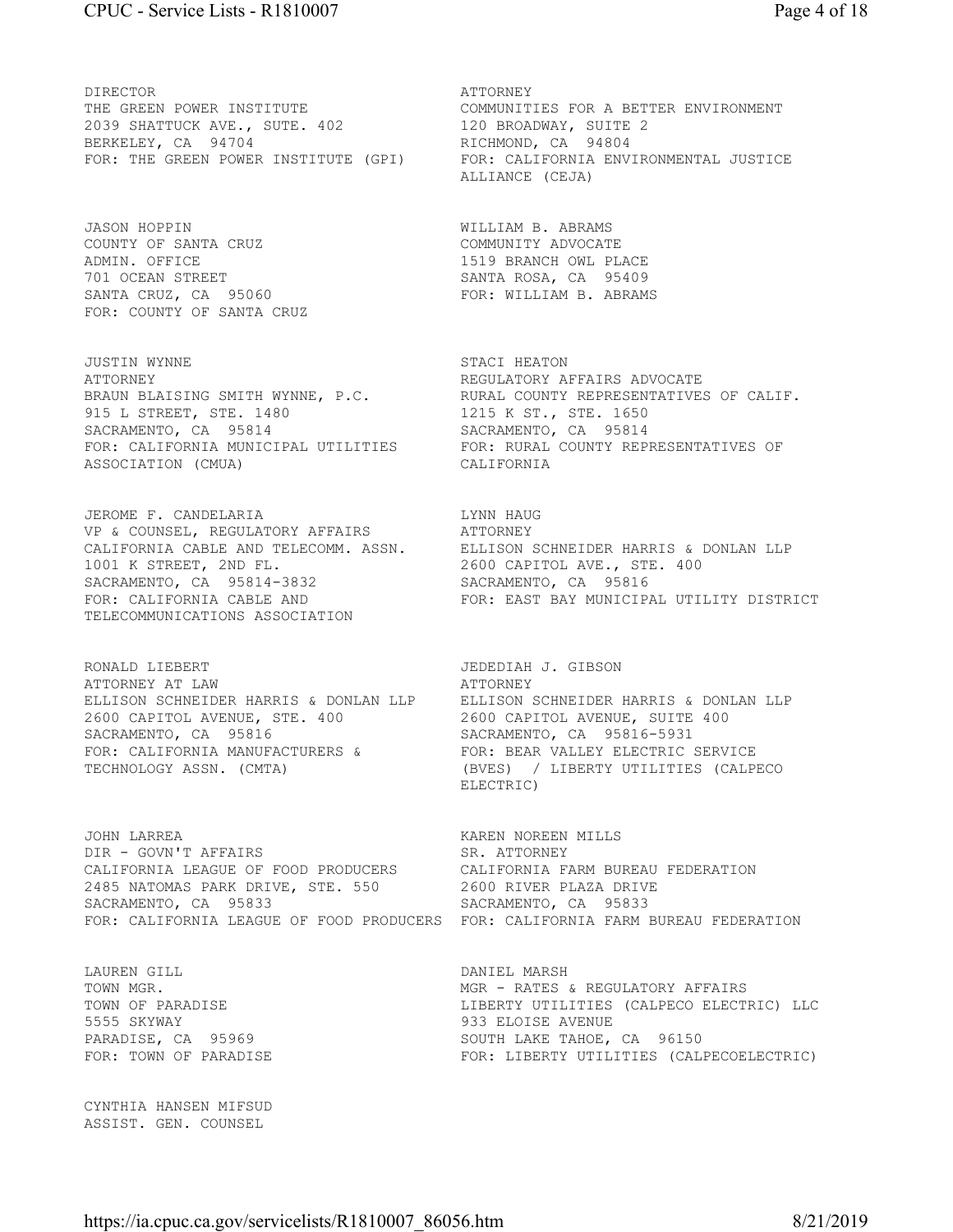DIRECTOR **ATTORNEY** THE GREEN POWER INSTITUTE COMMUNITIES FOR A BETTER ENVIRONMENT 2039 SHATTUCK AVE., SUTE. 402 120 BROADWAY, SUITE 2 BERKELEY, CA 94704 RICHMOND, CA 94804 FOR: THE GREEN POWER INSTITUTE (GPI) FOR: CALIFORNIA ENVIRONMENTAL JUSTICE

JASON HOPPIN WILLIAM B. ABRAMS COUNTY OF SANTA CRUZ COMMUNITY ADVOCATE ADMIN. OFFICE 1519 BRANCH OWL PLACE 701 OCEAN STREET SANTA ROSA, CA 95409 SANTA CRUZ, CA 95060 FOR: WILLIAM B. ABRAMS FOR: COUNTY OF SANTA CRUZ

JUSTIN WYNNE STACI HEATON ATTORNEY REGULATORY AFFAIRS ADVOCATE 915 L STREET, STE. 1480 1215 K ST., STE. 1650 SACRAMENTO, CA 95814 SACRAMENTO, CA 95814 ASSOCIATION (CMUA) CALIFORNIA

JEROME F. CANDELARIA LYNN HAUG VP & COUNSEL, REGULATORY AFFAIRS ATTORNEY 1001 K STREET, 2ND FL. 2600 CAPITOL AVE., STE. 400 SACRAMENTO, CA 95814-3832 SACRAMENTO, CA 95816 TELECOMMUNICATIONS ASSOCIATION

RONALD LIEBERT JEDEDIAH J. GIBSON ATTORNEY AT LAW 2600 CAPITOL AVENUE, STE. 400 2600 CAPITOL AVENUE, SUITE 400<br>
SACRAMENTO, CA 95816 3ACRAMENTO, CA 95816-5931 SACRAMENTO, CA 95816 SACRAMENTO, CA 95816-5931 FOR: CALIFORNIA MANUFACTURERS & FOR: BEAR VALLEY ELECTRIC SERVICE TECHNOLOGY ASSN. (CMTA) (BVES) / LIBERTY UTILITIES (CALPECO

JOHN LARREA KAREN NOREEN MILLS DIR - GOVN'T AFFAIRS SR. ATTORNEY CALIFORNIA LEAGUE OF FOOD PRODUCERS CALIFORNIA FARM BUREAU FEDERATION 2485 NATOMAS PARK DRIVE, STE. 550 2600 RIVER PLAZA DRIVE SACRAMENTO, CA 95833 SACRAMENTO, CA 95833 FOR: CALIFORNIA LEAGUE OF FOOD PRODUCERS FOR: CALIFORNIA FARM BUREAU FEDERATION

LAUREN GILL DANIEL MARSH 5555 SKYWAY 933 ELOISE AVENUE

CYNTHIA HANSEN MIFSUD ASSIST. GEN. COUNSEL

ALLIANCE (CEJA)

BRAUN BLAISING SMITH WYNNE, P.C. RURAL COUNTY REPRESENTATIVES OF CALIF. FOR: CALIFORNIA MUNICIPAL UTILITIES FOR: RURAL COUNTY REPRESENTATIVES OF

CALIFORNIA CABLE AND TELECOMM. ASSN. ELLISON SCHNEIDER HARRIS & DONLAN LLP FOR: CALIFORNIA CABLE AND<br>FOR: CALIFORNIA CABLE AND FOR: EAST BAY MUNICIPAL UTILITY DISTRICT<br>FOR: CALIFORNIA CABLE AND FOR: EAST BAY MUNICIPAL UTILITY DISTRICT

ELLISON SCHNEIDER HARRIS & DONLAN LLP ELLISON SCHNEIDER HARRIS & DONLAN LLP ELECTRIC)

TOWN MGR. TOWN MGR. TOWN MESS AREGULATORY AFFAIRS TOWN OF PARADISE TOWN CONTROLLERTY UTILITIES (CALPECO ELECTRIC) LLC PARADISE, CA 95969 SOUTH LAKE TAHOE, CA 96150 FOR: TOWN OF PARADISE FOR: LIBERTY UTILITIES (CALPECOELECTRIC)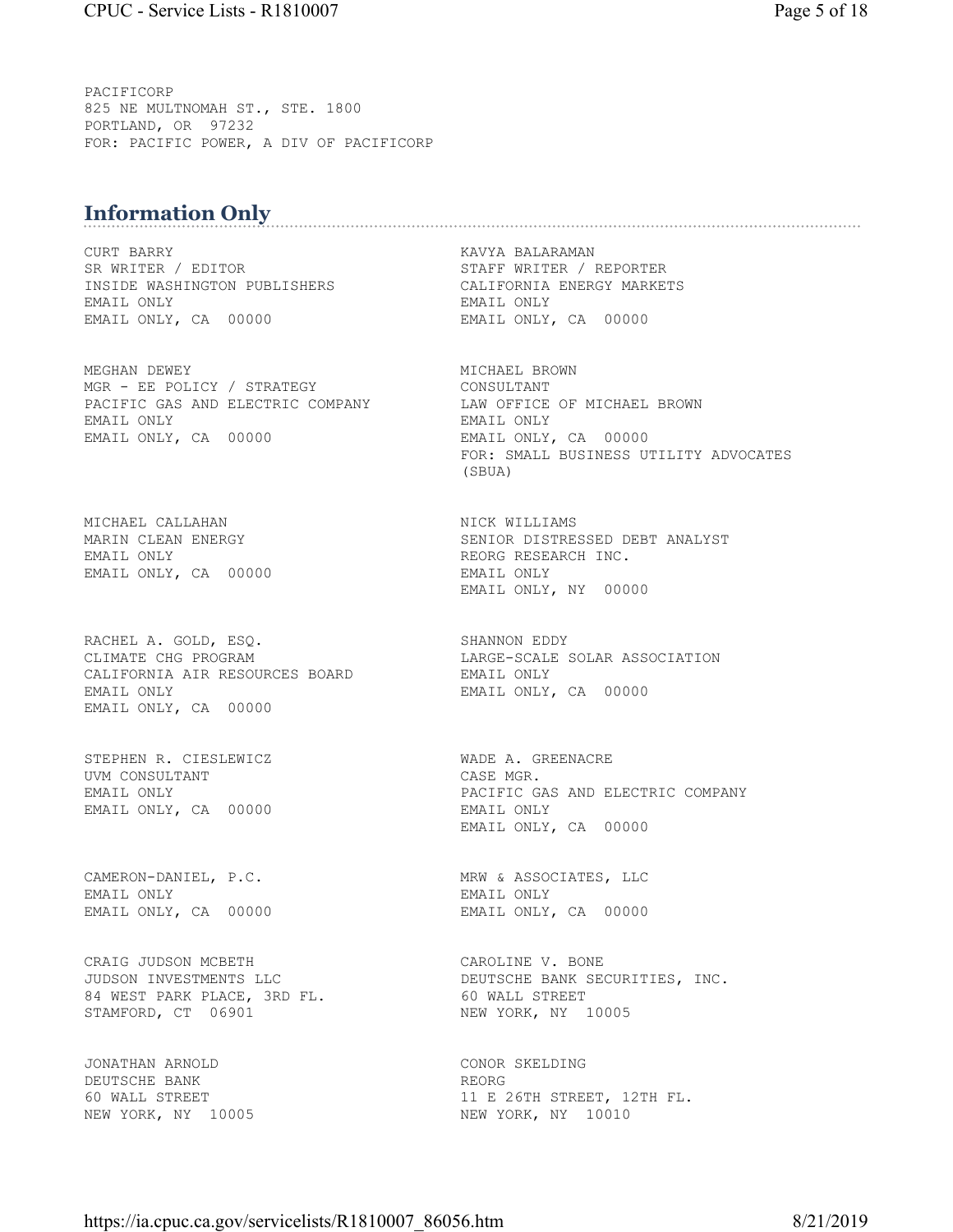PACIFICORP 825 NE MULTNOMAH ST., STE. 1800 PORTLAND, OR 97232 FOR: PACIFIC POWER, A DIV OF PACIFICORP

# **Information Only**

CURT BARRY KAVYA BALARAMAN INSIDE WASHINGTON PUBLISHERS CALIFORNIA ENERGY MARKETS EMAIL ONLY EMAIL ONLY EMAIL ONLY, CA 00000 EMAIL ONLY, CA 00000

MEGHAN DEWEY **MICHAEL BROWN** MGR - EE POLICY / STRATEGY CONSULTANT PACIFIC GAS AND ELECTRIC COMPANY LAW OFFICE OF MICHAEL BROWN EMAIL ONLY EMAIL ONLY

MICHAEL CALLAHAN NICK WILLIAMS EMAIL ONLY **EMAIL CONCRETE SECULAR EXECUTE A** REORG RESEARCH INC. EMAIL ONLY, CA 00000 EMAIL ONLY

RACHEL A. GOLD, ESQ. SHANNON EDDY CLIMATE CHG PROGRAM LARGE-SCALE SOLAR ASSOCIATION CALIFORNIA AIR RESOURCES BOARD BMAIL ONLY EMAIL ONLY EMAIL ONLY, CA 00000 EMAIL ONLY, CA 00000

STEPHEN R. CIESLEWICZ WADE A. GREENACRE UVM CONSULTANT CASE MGR. EMAIL ONLY, CA 00000 EMAIL ONLY

CAMERON-DANIEL, P.C. MRW & ASSOCIATES, LLC EMAIL ONLY EMAIL ONLY EMAIL ONLY, CA 00000 EMAIL ONLY, CA 00000

CRAIG JUDSON MCBETH CAROLINE V. BONE 84 WEST PARK PLACE, 3RD FL. 60 WALL STREET STAMFORD, CT 06901 NEW YORK, NY 10005

JONATHAN ARNOLD CONOR SKELDING DEUTSCHE BANK REORG

STAFF WRITER / REPORTER

EMAIL ONLY, CA 00000 FOR: SMALL BUSINESS UTILITY ADVOCATES (SBUA)

MARIN CLEAN ENERGY SENIOR DISTRESSED DEBT ANALYST EMAIL ONLY, NY 00000

EMAIL ONLY PACIFIC GAS AND ELECTRIC COMPANY EMAIL ONLY, CA 00000

JUDSON INVESTMENTS LLC **DEUTSCHE BANK SECURITIES, INC.** 

60 WALL STREET 11 E 26TH STREET, 12TH FL. NEW YORK, NY 10005 NEW YORK, NY 10010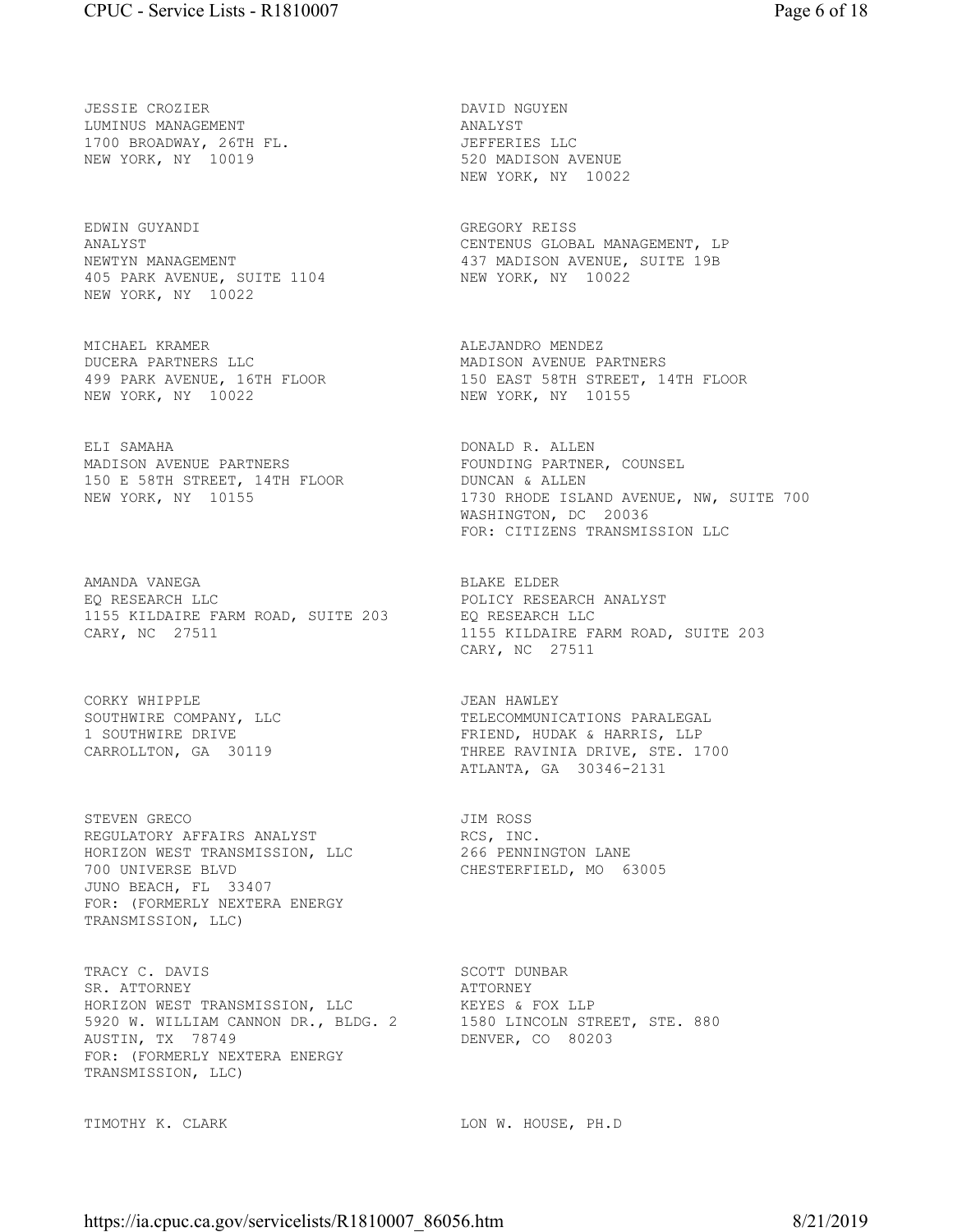JESSIE CROZIER DAVID NGUYEN LUMINUS MANAGEMENT **ANALYST** 1700 BROADWAY, 26TH FL. JEFFERIES LLC NEW YORK, NY 10019 520 MADISON AVENUE

EDWIN GUYANDI GREGORY REISS 405 PARK AVENUE, SUITE 1104 NEW YORK, NY 10022 NEW YORK, NY 10022

MICHAEL KRAMER **ALEJANDRO MENDEZ** DUCERA PARTNERS LLC MADISON AVENUE PARTNERS NEW YORK, NY 10022 NEW YORK, NY 10155

ELI SAMAHA **DONALD R. ALLEN** MADISON AVENUE PARTNERS FOUNDING PARTNER, COUNSEL 150 E 58TH STREET, 14TH FLOOR DUNCAN & ALLEN

AMANDA VANEGA BLAKE ELDER EQ RESEARCH LLC POLICY RESEARCH ANALYST 1155 KILDAIRE FARM ROAD, SUITE 203 EQ RESEARCH LLC CARY, NC 27511 1155 KILDAIRE FARM ROAD, SUITE 203

CORKY WHIPPLE **GEAN SERVICE CORKY WHIPPLE** 

STEVEN GRECO **STEVEN GRECO JIM ROSS** REGULATORY AFFAIRS ANALYST FOR THE RCS, INC. HORIZON WEST TRANSMISSION, LLC 266 PENNINGTON LANE 700 UNIVERSE BLVD CHESTERFIELD, MO 63005 JUNO BEACH, FL 33407 FOR: (FORMERLY NEXTERA ENERGY TRANSMISSION, LLC)

TRACY C. DAVIS SCOTT DUNBAR SR. ATTORNEY **ATTORNEY** HORIZON WEST TRANSMISSION, LLC KEYES & FOX LLP 5920 W. WILLIAM CANNON DR., BLDG. 2 1580 LINCOLN STREET, STE. 880 AUSTIN, TX 78749 **DENVER, CO 80203** FOR: (FORMERLY NEXTERA ENERGY TRANSMISSION, LLC)

NEW YORK, NY 10022

ANALYST CENTENUS GLOBAL MANAGEMENT, LP NEWTYN MANAGEMENT 437 MADISON AVENUE, SUITE 19B

499 PARK AVENUE, 16TH FLOOR 150 EAST 58TH STREET, 14TH FLOOR

NEW YORK, NY 10155 1730 RHODE ISLAND AVENUE, NW, SUITE 700 WASHINGTON, DC 20036 FOR: CITIZENS TRANSMISSION LLC

CARY, NC 27511

SOUTHWIRE COMPANY, LLC TELECOMMUNICATIONS PARALEGAL 1 SOUTHWIRE DRIVE FRIEND, HUDAK & HARRIS, LLP CARROLLTON, GA 30119 THREE RAVINIA DRIVE, STE. 1700 ATLANTA, GA 30346-2131

TIMOTHY K. CLARK LON W. HOUSE, PH.D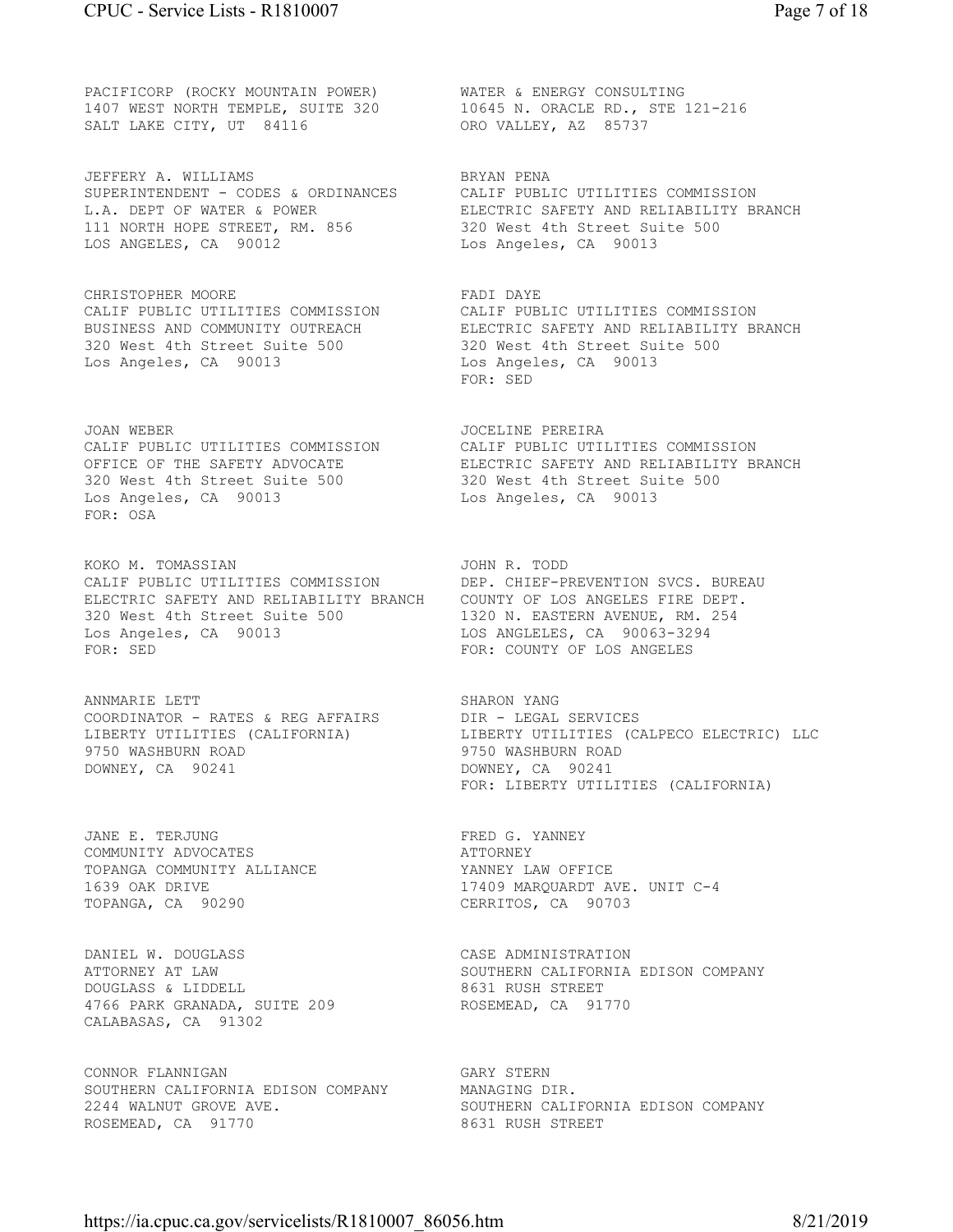PACIFICORP (ROCKY MOUNTAIN POWER) WATER & ENERGY CONSULTING 1407 WEST NORTH TEMPLE, SUITE 320 10645 N. ORACLE RD., STE 121-216 SALT LAKE CITY, UT 84116 ORO VALLEY, AZ 85737

JEFFERY A. WILLIAMS SALL SERYAN PENA SUPERINTENDENT - CODES & ORDINANCES CALIF PUBLIC UTILITIES COMMISSION 111 NORTH HOPE STREET, RM. 856 320 West 4th Street Suite 500 LOS ANGELES, CA 90012 Los Angeles, CA 90013

CHRISTOPHER MOORE **FADI DAYE** 320 West 4th Street Suite 500 320 West 4th Street Suite 500 Los Angeles, CA 90013 Los Angeles, CA 90013

JOAN WEBER JOCELINE PEREIRA 320 West 4th Street Suite 500 320 West 4th Street Suite 500 Los Angeles, CA 90013 Los Angeles, CA 90013 FOR: OSA

KOKO M. TOMASSIAN JOHN R. TODD CALIF PUBLIC UTILITIES COMMISSION DEP. CHIEF-PREVENTION SVCS. BUREAU ELECTRIC SAFETY AND RELIABILITY BRANCH COUNTY OF LOS ANGELES FIRE DEPT. 320 West 4th Street Suite 500 1320 N. EASTERN AVENUE, RM. 254 Los Angeles, CA 90013 LOS ANGLELES, CA 90063-3294 FOR: SED **FOR: SED FOR: SED FOR: COUNTY OF LOS ANGELES** 

ANNMARIE LETT SHARON YANG COORDINATOR - RATES & REG AFFAIRS DIR - LEGAL SERVICES 9750 WASHBURN ROAD 9750 WASHBURN ROAD DOWNEY, CA 90241 DOWNEY, CA 90241

JANE E. TERJUNG **FRED G. YANNEY** COMMUNITY ADVOCATES **ATTORNEY** TOPANGA COMMUNITY ALLIANCE YANNEY LAW OFFICE TOPANGA, CA 90290 CERRITOS, CA 90703

DANIEL W. DOUGLASS CASE ADMINISTRATION DOUGLASS & LIDDELL 8631 RUSH STREET 4766 PARK GRANADA, SUITE 209 ROSEMEAD, CA 91770 CALABASAS, CA 91302

CONNOR FLANNIGAN GARY STERN SOUTHERN CALIFORNIA EDISON COMPANY MANAGING DIR. 2244 WALNUT GROVE AVE. SOUTHERN CALIFORNIA EDISON COMPANY ROSEMEAD, CA 91770 8631 RUSH STREET

L.A. DEPT OF WATER & POWER ELECTRIC SAFETY AND RELIABILITY BRANCH

CALIF PUBLIC UTILITIES COMMISSION CALIF PUBLIC UTILITIES COMMISSION BUSINESS AND COMMUNITY OUTREACH ELECTRIC SAFETY AND RELIABILITY BRANCH FOR: SED

CALIF PUBLIC UTILITIES COMMISSION CALIF PUBLIC UTILITIES COMMISSION OFFICE OF THE SAFETY ADVOCATE ELECTRIC SAFETY AND RELIABILITY BRANCH

LIBERTY UTILITIES (CALIFORNIA) LIBERTY UTILITIES (CALPECO ELECTRIC) LLC FOR: LIBERTY UTILITIES (CALIFORNIA)

1639 OAK DRIVE 17409 MARQUARDT AVE. UNIT C-4

ATTORNEY AT LAW SOUTHERN CALIFORNIA EDISON COMPANY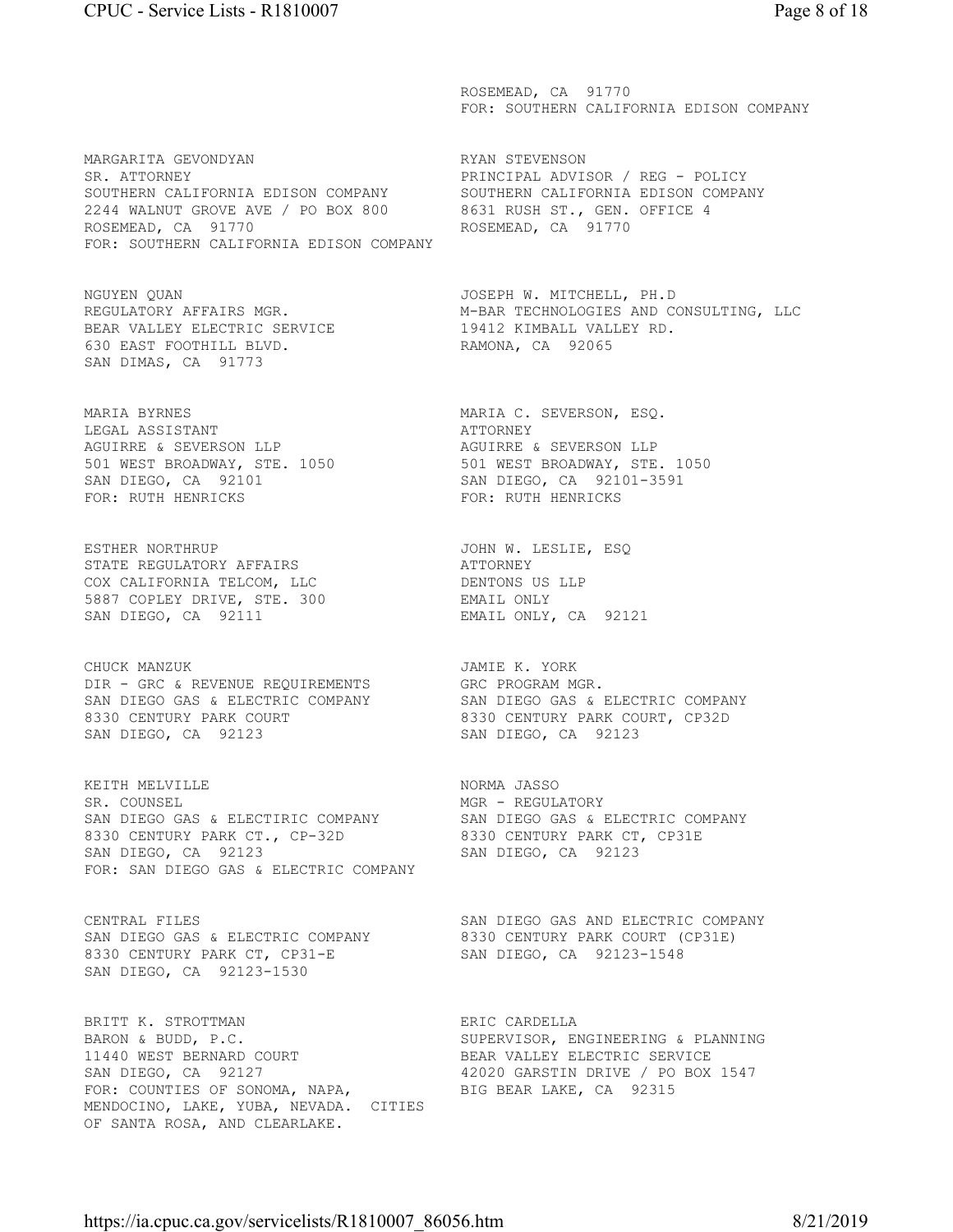MARGARITA GEVONDYAN RYAN STEVENSON SR. ATTORNEY PRINCIPAL ADVISOR / REG - POLICY SOUTHERN CALIFORNIA EDISON COMPANY SOUTHERN CALIFORNIA EDISON COMPANY 2244 WALNUT GROVE AVE / PO BOX 800 8631 RUSH ST., GEN. OFFICE 4 ROSEMEAD, CA 91770 ROSEMEAD, CA 91770 FOR: SOUTHERN CALIFORNIA EDISON COMPANY

NGUYEN QUAN JOSEPH W. MITCHELL, PH.D BEAR VALLEY ELECTRIC SERVICE 19412 KIMBALL VALLEY RD. 630 EAST FOOTHILL BLVD. RAMONA, CA 92065 SAN DIMAS, CA 91773

LEGAL ASSISTANT **ATTORNEY** AGUIRRE & SEVERSON LLP AGUIRRE & SEVERSON LLP SAN DIEGO, CA 92101 SAN DIEGO, CA 92101-3591 FOR: RUTH HENRICKS FOR: RUTH HENRICKS

ESTHER NORTHRUP JOHN W. LESLIE, ESQ STATE REGULATORY AFFAIRS **ALL SEEMING ATTORNEY** COX CALIFORNIA TELCOM, LLC DENTONS US LLP 5887 COPLEY DRIVE, STE. 300 EMAIL ONLY SAN DIEGO, CA 92111 EMAIL ONLY, CA 92121

CHUCK MANZUK **JAMIE K. YORK** DIR - GRC & REVENUE REQUIREMENTS GRC PROGRAM MGR. SAN DIEGO GAS & ELECTRIC COMPANY SAN DIEGO GAS & ELECTRIC COMPANY 8330 CENTURY PARK COURT 6330 CENTURY PARK COURT, CP32D SAN DIEGO, CA 92123 SAN DIEGO, CA 92123

KEITH MELVILLE NORMA JASSO SR. COUNSEL **MGR - REGULATORY** SAN DIEGO GAS & ELECTIRIC COMPANY SAN DIEGO GAS & ELECTRIC COMPANY 8330 CENTURY PARK CT., CP-32D 8330 CENTURY PARK CT, CP31E SAN DIEGO, CA 92123 SAN DIEGO, CA 92123 FOR: SAN DIEGO GAS & ELECTRIC COMPANY

8330 CENTURY PARK CT, CP31-E SAN DIEGO, CA 92123-1548 SAN DIEGO, CA 92123-1530

BRITT K. STROTTMAN **ERIC CARDELLA** BARON & BUDD, P.C. SUPERVISOR, ENGINEERING & PLANNING 11440 WEST BERNARD COURT THE BEAR VALLEY ELECTRIC SERVICE<br>
SAN DIEGO, CA 92127 12020 GARSTIN DRIVE / PO BOX 1547 SAN DIEGO, CA 92127 42020 GARSTIN DRIVE / PO BOX 1547 FOR: COUNTIES OF SONOMA, NAPA, BIG BEAR LAKE, CA 92315 MENDOCINO, LAKE, YUBA, NEVADA. CITIES OF SANTA ROSA, AND CLEARLAKE.

 ROSEMEAD, CA 91770 FOR: SOUTHERN CALIFORNIA EDISON COMPANY

REGULATORY AFFAIRS MGR. M-BAR TECHNOLOGIES AND CONSULTING, LLC

MARIA BYRNES MARIA C. SEVERSON, ESQ. 501 WEST BROADWAY, STE. 1050 501 WEST BROADWAY, STE. 1050

CENTRAL FILES SAN DIEGO GAS AND ELECTRIC COMPANY SAN DIEGO GAS & ELECTRIC COMPANY 8330 CENTURY PARK COURT (CP31E)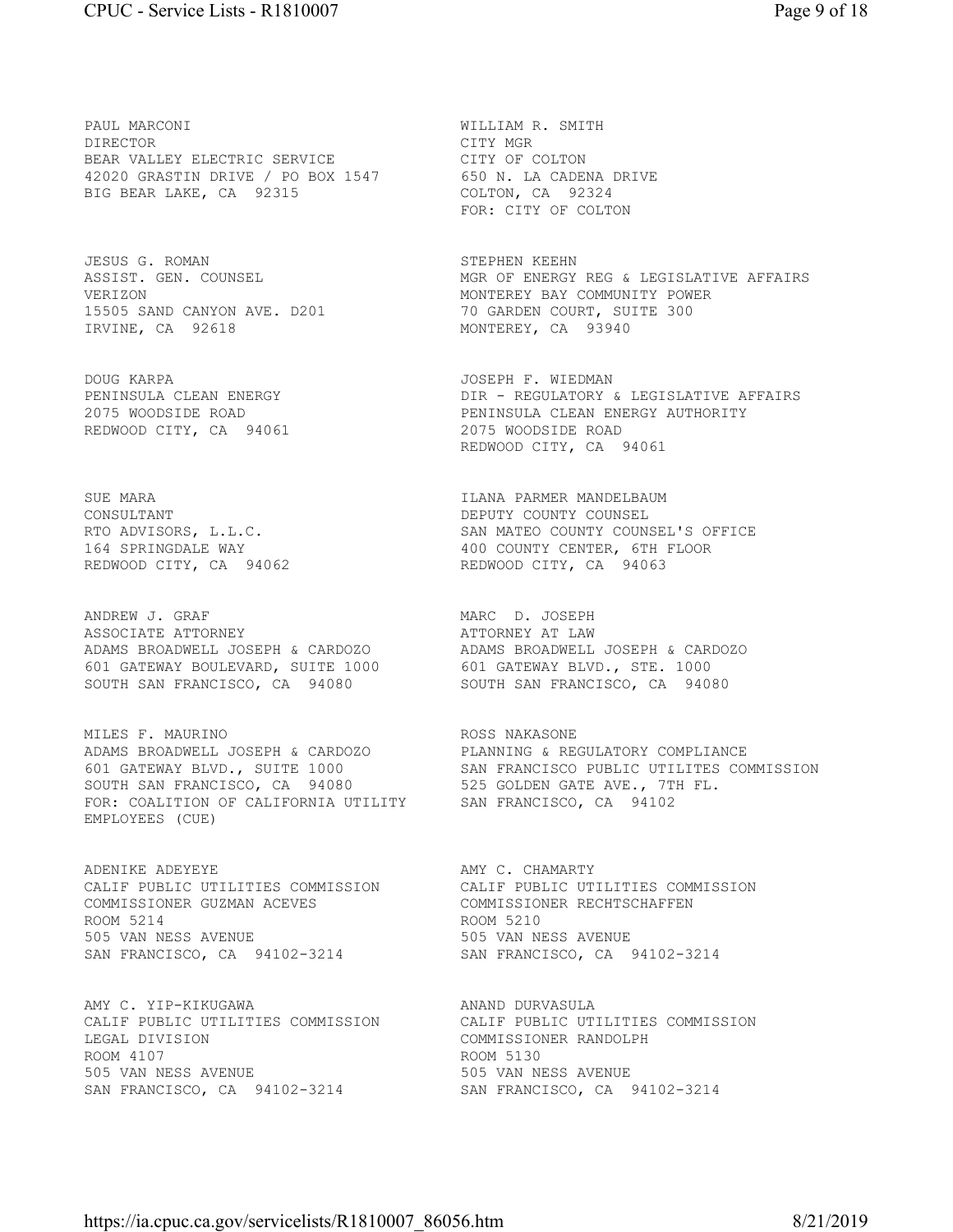PAUL MARCONI **WILLIAM R. SMITH** DIRECTOR CITY MGR BEAR VALLEY ELECTRIC SERVICE **COLTON** 42020 GRASTIN DRIVE / PO BOX 1547 650 N. LA CADENA DRIVE BIG BEAR LAKE, CA 92315 COLTON, CA 92324

JESUS G. ROMAN STEPHEN KEEHN 15505 SAND CANYON AVE. D201 70 GARDEN COURT, SUITE 300 IRVINE, CA 92618 MONTEREY, CA 93940

DOUG KARPA JOSEPH F. WIEDMAN REDWOOD CITY, CA 94061 2075 WOODSIDE ROAD

CONSULTANT COUNSEL COUNTY COUNSEL REDWOOD CITY, CA 94062 REDWOOD CITY, CA 94063

ANDREW J. GRAF MARC D. JOSEPH ASSOCIATE ATTORNEY ATTORNEY AT LAW ADAMS BROADWELL JOSEPH & CARDOZO ADAMS BROADWELL JOSEPH & CARDOZO 601 GATEWAY BOULEVARD, SUITE 1000 601 GATEWAY BLVD., STE. 1000 SOUTH SAN FRANCISCO, CA 94080 SOUTH SAN FRANCISCO, CA 94080

MILES F. MAURINO **ROSS NAKASONE** ADAMS BROADWELL JOSEPH & CARDOZO PLANNING & REGULATORY COMPLIANCE SOUTH SAN FRANCISCO, CA 94080 525 GOLDEN GATE AVE., 7TH FL. FOR: COALITION OF CALIFORNIA UTILITY SAN FRANCISCO, CA 94102 EMPLOYEES (CUE)

ADENIKE ADEYEYE **ADENIKE ADEYEYE** AMY C. CHAMARTY COMMISSIONER GUZMAN ACEVES COMMISSIONER RECHTSCHAFFEN ROOM 5214 ROOM 5210 505 VAN NESS AVENUE 505 VAN NESS AVENUE SAN FRANCISCO, CA 94102-3214 SAN FRANCISCO, CA 94102-3214

AMY C. YIP-KIKUGAWA ANAND DURVASULA CALIF PUBLIC UTILITIES COMMISSION CALIF PUBLIC UTILITIES COMMISSION LEGAL DIVISION COMMISSIONER RANDOLPH ROOM 4107 ROOM 5130 505 VAN NESS AVENUE 505 VAN NESS AVENUE SAN FRANCISCO, CA 94102-3214 SAN FRANCISCO, CA 94102-3214

FOR: CITY OF COLTON

ASSIST. GEN. COUNSEL MGR OF ENERGY REG & LEGISLATIVE AFFAIRS VERIZON MONTEREY BAY COMMUNITY POWER

DIR - REGULATORY & LEGISLATIVE AFFAIRS 2075 WOODSIDE ROAD PENINSULA CLEAN ENERGY AUTHORITY REDWOOD CITY, CA 94061

SUE MARA **ILANA PARMER MANDELBAUM** RTO ADVISORS, L.L.C. SAN MATEO COUNTY COUNSEL'S OFFICE 164 SPRINGDALE WAY<br>REDWOOD CITY, CA 94062 REDWOOD CITY, CA 94063

601 GATEWAY BLVD., SUITE 1000 SAN FRANCISCO PUBLIC UTILITES COMMISSION

CALIF PUBLIC UTILITIES COMMISSION CALIF PUBLIC UTILITIES COMMISSION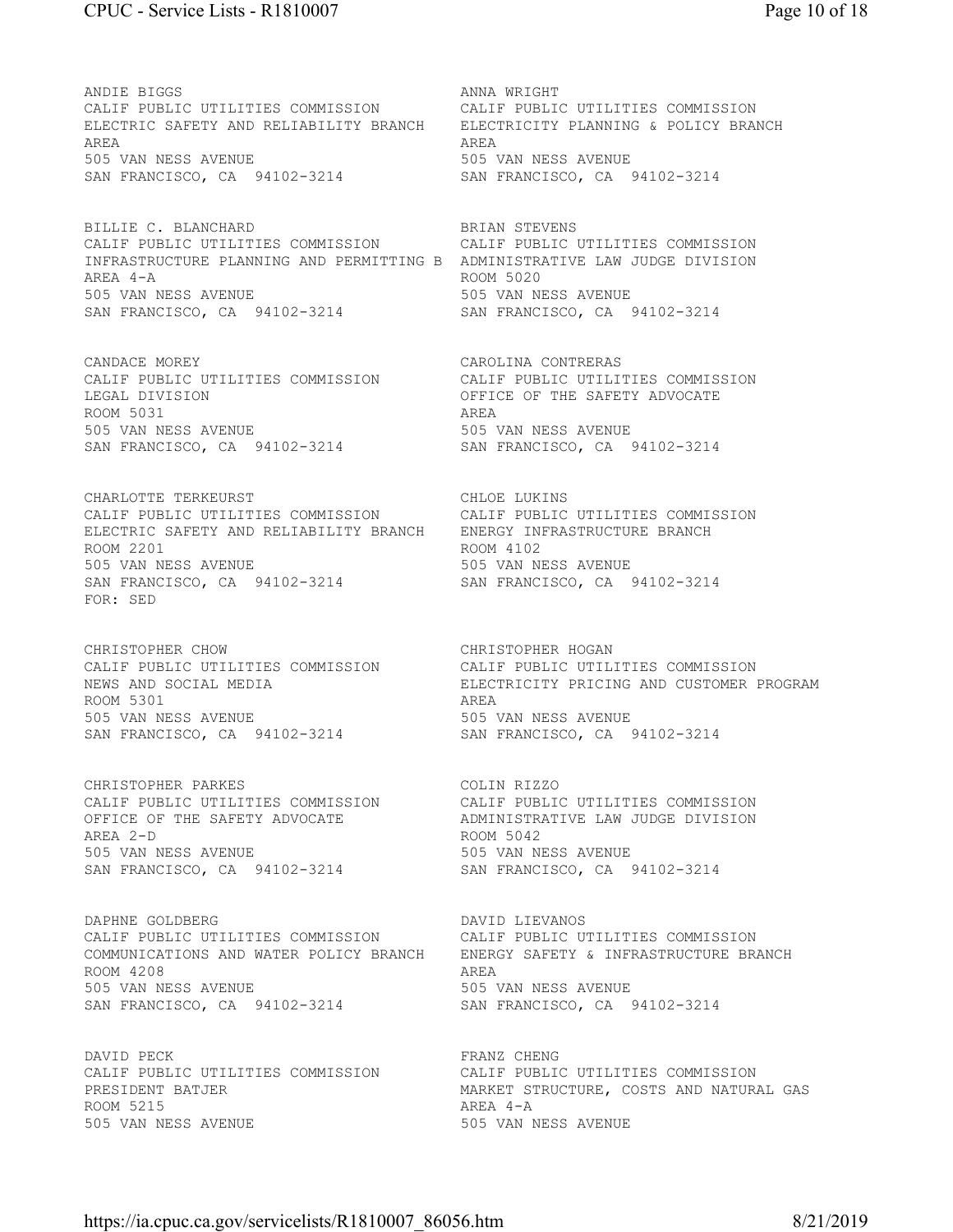ANDIE BIGGS ANNA WRIGHT CALIF PUBLIC UTILITIES COMMISSION CALIF PUBLIC UTILITIES COMMISSION ELECTRIC SAFETY AND RELIABILITY BRANCH ELECTRICITY PLANNING & POLICY BRANCH AREA AREA 505 VAN NESS AVENUE 505 VAN NESS AVENUE SAN FRANCISCO, CA 94102-3214 SAN FRANCISCO, CA 94102-3214

BILLIE C. BLANCHARD BRIAN STEVENS CALIF PUBLIC UTILITIES COMMISSION CALIF PUBLIC UTILITIES COMMISSION INFRASTRUCTURE PLANNING AND PERMITTING B ADMINISTRATIVE LAW JUDGE DIVISION AREA 4-A ROOM 5020 505 VAN NESS AVENUE 505 VAN NESS AVENUE SAN FRANCISCO, CA 94102-3214 SAN FRANCISCO, CA 94102-3214

CANDACE MOREY CAROLINA CONTRERAS LEGAL DIVISION OFFICE OF THE SAFETY ADVOCATE ROOM 5031 AREA 505 VAN NESS AVENUE 505 VAN NESS AVENUE SAN FRANCISCO, CA 94102-3214 SAN FRANCISCO, CA 94102-3214

CHARLOTTE TERKEURST CHARLOTTE CHECKERS CALIF PUBLIC UTILITIES COMMISSION CALIF PUBLIC UTILITIES COMMISSION ELECTRIC SAFETY AND RELIABILITY BRANCH ENERGY INFRASTRUCTURE BRANCH ROOM 2201 ROOM 4102 505 VAN NESS AVENUE 505 VAN NESS AVENUE SAN FRANCISCO, CA 94102-3214 SAN FRANCISCO, CA 94102-3214 FOR: SED

CALIF PUBLIC UTILITIES COMMISSION CALIF PUBLIC UTILITIES COMMISSION ROOM 5301 505 VAN NESS AVENUE<br>
505 VAN NESS AVENUE<br>
505 VAN NESS AVENUE<br>
SAN FRANCISCO, CA 94102-3214<br>
505 VAN NESS AVENUE SAN FRANCISCO, CA 94102-3214

CALIF PUBLIC UTILITIES COMMISSION CALIF PUBLIC UTILITIES COMMISSION AREA 2-D ROOM 5042 505 VAN NESS AVENUE<br>
SAN FRANCISCO, CA 94102-3214<br>
SAN FRANCISCO, CA 94102-3214 SAN FRANCISCO, CA 94102-3214

DAPHNE GOLDBERG **DAVID LIEVANOS** CALIF PUBLIC UTILITIES COMMISSION CALIF PUBLIC UTILITIES COMMISSION COMMUNICATIONS AND WATER POLICY BRANCH ENERGY SAFETY & INFRASTRUCTURE BRANCH ROOM 4208 AREA 505 VAN NESS AVENUE 505 VAN NESS AVENUE SAN FRANCISCO, CA 94102-3214 SAN FRANCISCO, CA 94102-3214

DAVID PECK FRANZ CHENG CALIF PUBLIC UTILITIES COMMISSION CALIF PUBLIC UTILITIES COMMISSION ROOM 5215 AREA 4-A 505 VAN NESS AVENUE 505 VAN NESS AVENUE

CALIF PUBLIC UTILITIES COMMISSION CALIF PUBLIC UTILITIES COMMISSION

CHRISTOPHER CHOW<br>
CALIF PUBLIC UTILITIES COMMISSION CALIF PUBLIC UTILITIES COMMISSION NEWS AND SOCIAL MEDIA FOR THE SELECTRICITY PRICING AND CUSTOMER PROGRAM ROOM 5301

CHRISTOPHER PARKES<br>CALIF PUBLIC UTILITIES COMMISSION CALIF PUBLIC UTILITIES COMMISSION OFFICE OF THE SAFETY ADVOCATE ADMINISTRATIVE LAW JUDGE DIVISION

PRESIDENT BATJER MARKET STRUCTURE, COSTS AND NATURAL GAS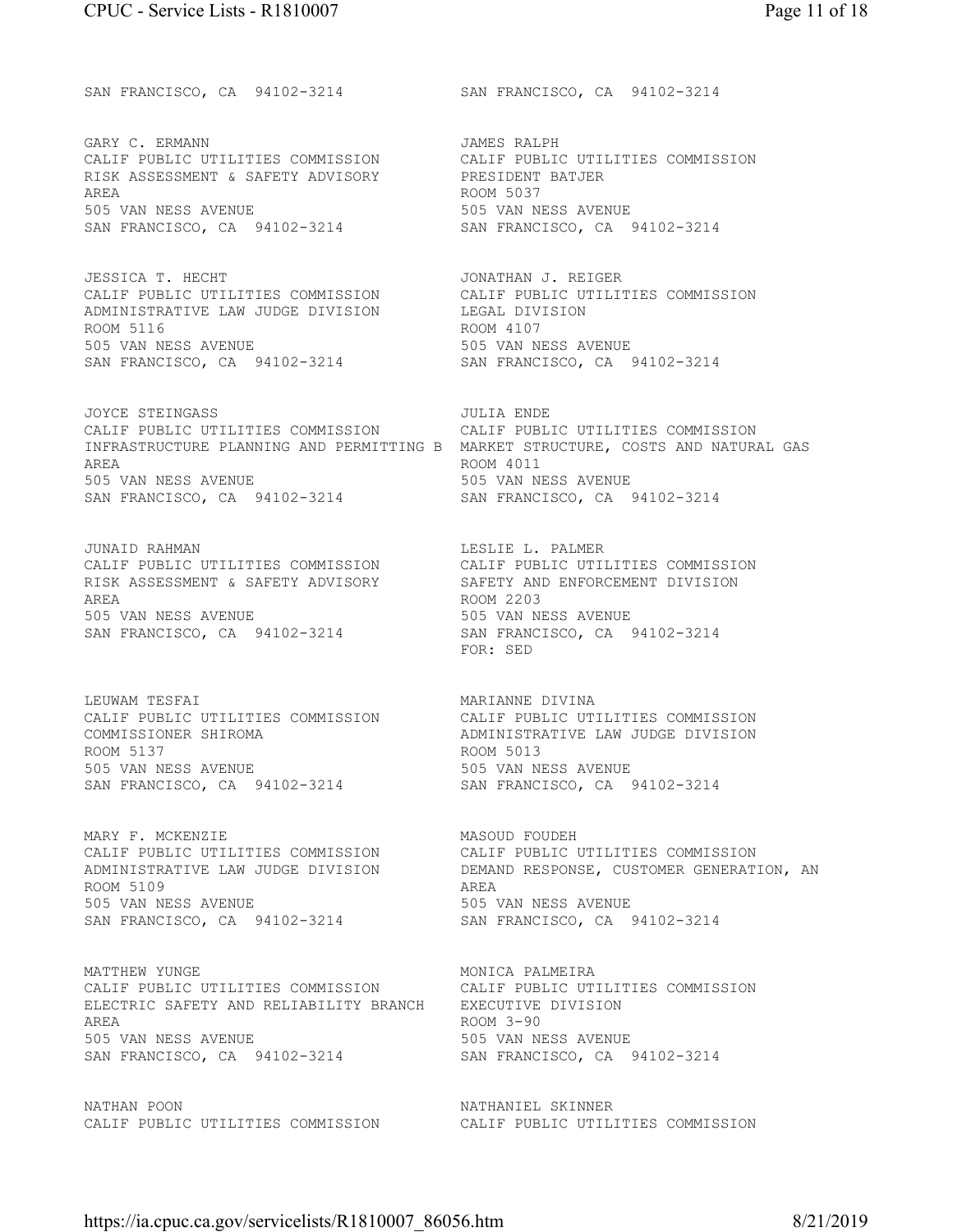SAN FRANCISCO, CA 94102-3214 SAN FRANCISCO, CA 94102-3214

GARY C. ERMANN GARY COMPLETE STATES AND STATES RALPH CALIF PUBLIC UTILITIES COMMISSION CALIF PUBLIC UTILITIES COMMISSION RISK ASSESSMENT & SAFETY ADVISORY PRESIDENT BATJER AREA ROOM 5037 505 VAN NESS AVENUE 505 VAN NESS AVENUE SAN FRANCISCO, CA 94102-3214 SAN FRANCISCO, CA 94102-3214

JESSICA T. HECHT **JONATHAN J. REIGER** CALIF PUBLIC UTILITIES COMMISSION CALIF PUBLIC UTILITIES COMMISSION ADMINISTRATIVE LAW JUDGE DIVISION LEGAL DIVISION ROOM 5116 ROOM 4107 505 VAN NESS AVENUE 505 VAN NESS AVENUE SAN FRANCISCO, CA 94102-3214 SAN FRANCISCO, CA 94102-3214

JOYCE STEINGASS JULIA ENDE CALIF PUBLIC UTILITIES COMMISSION CALIF PUBLIC UTILITIES COMMISSION INFRASTRUCTURE PLANNING AND PERMITTING B MARKET STRUCTURE, COSTS AND NATURAL GAS AREA ROOM 4011 505 VAN NESS AVENUE 505 VAN NESS AVENUE SAN FRANCISCO, CA 94102-3214 SAN FRANCISCO, CA 94102-3214

JUNAID RAHMAN LESLIE L. PALMER CALIF PUBLIC UTILITIES COMMISSION CALIF PUBLIC UTILITIES COMMISSION<br>RISK ASSESSMENT & SAFETY ADVISORY SAFETY AND ENFORCEMENT DIVISION RISK ASSESSMENT & SAFETY ADVISORY AREA ROOM 2203 505 VAN NESS AVENUE<br>
505 VAN NESS AVENUE<br>
505 VAN NESS AVENUE<br>
SAN FRANCISCO, CA 94102-3214<br>
505 VAN NESS AVENUE SAN FRANCISCO, CA 94102-3214

LEUWAM TESFAI **MARIANNE DIVINA** CALIF PUBLIC UTILITIES COMMISSION CALIF PUBLIC UTILITIES COMMISSION COMMISSIONER SHIROMA ADMINISTRATIVE LAW JUDGE DIVISION ROOM 5137 ROOM 5013 505 VAN NESS AVENUE 505 VAN NESS AVENUE SAN FRANCISCO, CA 94102-3214 SAN FRANCISCO, CA 94102-3214

MARY F. MCKENZIE MASOUD FOUDEH CALIF PUBLIC UTILITIES COMMISSION CALIF PUBLIC UTILITIES COMMISSION<br>ADMINISTRATIVE LAW JUDGE DIVISION DEMAND RESPONSE, CUSTOMER GENERAT ROOM 5109 AREA 505 VAN NESS AVENUE 505 VAN NESS AVENUE SAN FRANCISCO, CA 94102-3214 SAN FRANCISCO, CA 94102-3214

MATTHEW YUNGE **MONICA PALMEIRA** CALIF PUBLIC UTILITIES COMMISSION CALIF PUBLIC UTILITIES COMMISSION ELECTRIC SAFETY AND RELIABILITY BRANCH EXECUTIVE DIVISION AREA ROOM 3-90 505 VAN NESS AVENUE 505 VAN NESS AVENUE SAN FRANCISCO, CA 94102-3214 SAN FRANCISCO, CA 94102-3214

NATHAN POON NATHANIEL SKINNER CALIF PUBLIC UTILITIES COMMISSION CALIF PUBLIC UTILITIES COMMISSION

FOR: SED

DEMAND RESPONSE, CUSTOMER GENERATION, AN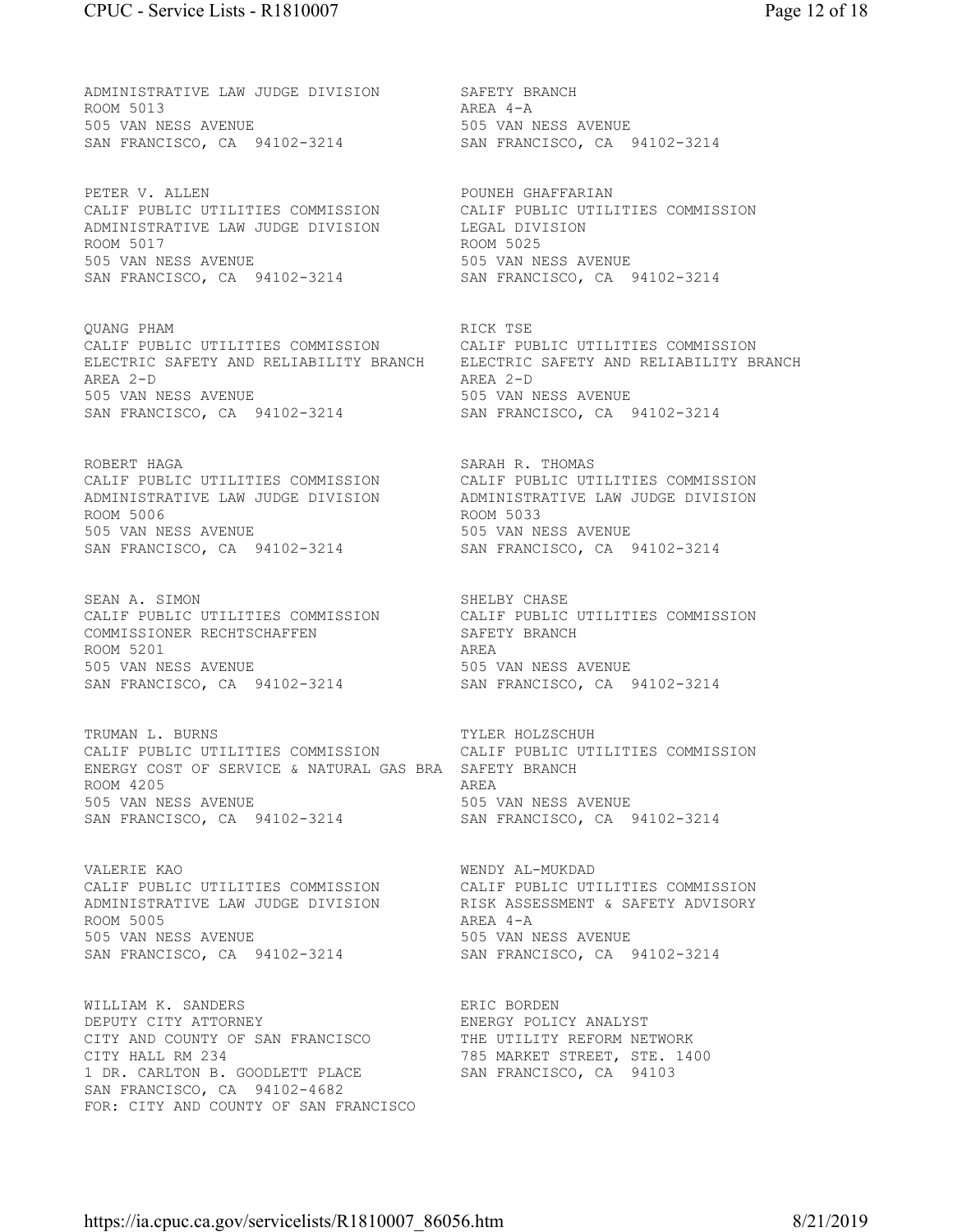ADMINISTRATIVE LAW JUDGE DIVISION SAFETY BRANCH ROOM 5013 505 VAN NESS AVENUE 505 VAN NESS AVENUE

PETER V. ALLEN POUNEH GHAFFARIAN CALIF PUBLIC UTILITIES COMMISSION CALIF PUBLIC UTILITIES COMMISSION ADMINISTRATIVE LAW JUDGE DIVISION LEGAL DIVISION ROOM 5017 ROOM 5025 505 VAN NESS AVENUE 505 VAN NESS AVENUE SAN FRANCISCO, CA 94102-3214

QUANG PHAM **RICK** TSE CALIF PUBLIC UTILITIES COMMISSION CALIF PUBLIC UTILITIES COMMISSION ELECTRIC SAFETY AND RELIABILITY BRANCH ELECTRIC SAFETY AND RELIABILITY BRANCH AREA 2-D AREA 2-D 505 VAN NESS AVENUE 505 VAN NESS AVENUE SAN FRANCISCO, CA 94102-3214 SAN FRANCISCO, CA 94102-3214

ROBERT HAGA SARAH R. THOMAS ROOM 5006 ROOM 5033 505 VAN NESS AVENUE 505 VAN NESS AVENUE SAN FRANCISCO, CA 94102-3214 SAN FRANCISCO, CA 94102-3214

SEAN A. SIMON SHELBY CHASE COMMISSIONER RECHTSCHAFFEN SAFETY BRANCH ROOM 5201 AREA SAN FRANCISCO, CA 94102-3214 SAN FRANCISCO, CA 94102-3214

TRUMAN L. BURNS TRUMAN HOLZSCHUH CALIF PUBLIC UTILITIES COMMISSION CALIF PUBLIC UTILITIES COMMISSION ENERGY COST OF SERVICE & NATURAL GAS BRA SAFETY BRANCH ROOM 4205 AREA 505 VAN NESS AVENUE 505 VAN NESS AVENUE SAN FRANCISCO, CA 94102-3214 SAN FRANCISCO, CA 94102-3214

VALERIE KAO WENDY AL-MUKDAD ROOM 5005 AREA 4-A 505 VAN NESS AVENUE 505 VAN NESS AVENUE SAN FRANCISCO, CA 94102-3214 SAN FRANCISCO, CA 94102-3214

WILLIAM K. SANDERS **ERIC BORDEN** DEPUTY CITY ATTORNEY TRANCISCON THE UTILITY ANALYST CITY AND COUNTY OF SAN FRANCISCO CITY AND COUNTY OF SAN FRANCISCO CITY HALL RM 234 785 MARKET STREET, STE. 1400 1 DR. CARLTON B. GOODLETT PLACE SAN FRANCISCO, CA 94103 SAN FRANCISCO, CA 94102-4682 FOR: CITY AND COUNTY OF SAN FRANCISCO

SAN FRANCISCO, CA 94102-3214 SAN FRANCISCO, CA 94102-3214 CALIF PUBLIC UTILITIES COMMISSION CALIF PUBLIC UTILITIES COMMISSION ADMINISTRATIVE LAW JUDGE DIVISION ADMINISTRATIVE LAW JUDGE DIVISION

AREA 4-A

CALIF PUBLIC UTILITIES COMMISSION CALIF PUBLIC UTILITIES COMMISSION 505 VAN NESS AVENUE 505 VAN NESS AVENUE

CALIF PUBLIC UTILITIES COMMISSION CALIF PUBLIC UTILITIES COMMISSION ADMINISTRATIVE LAW JUDGE DIVISION RISK ASSESSMENT & SAFETY ADVISORY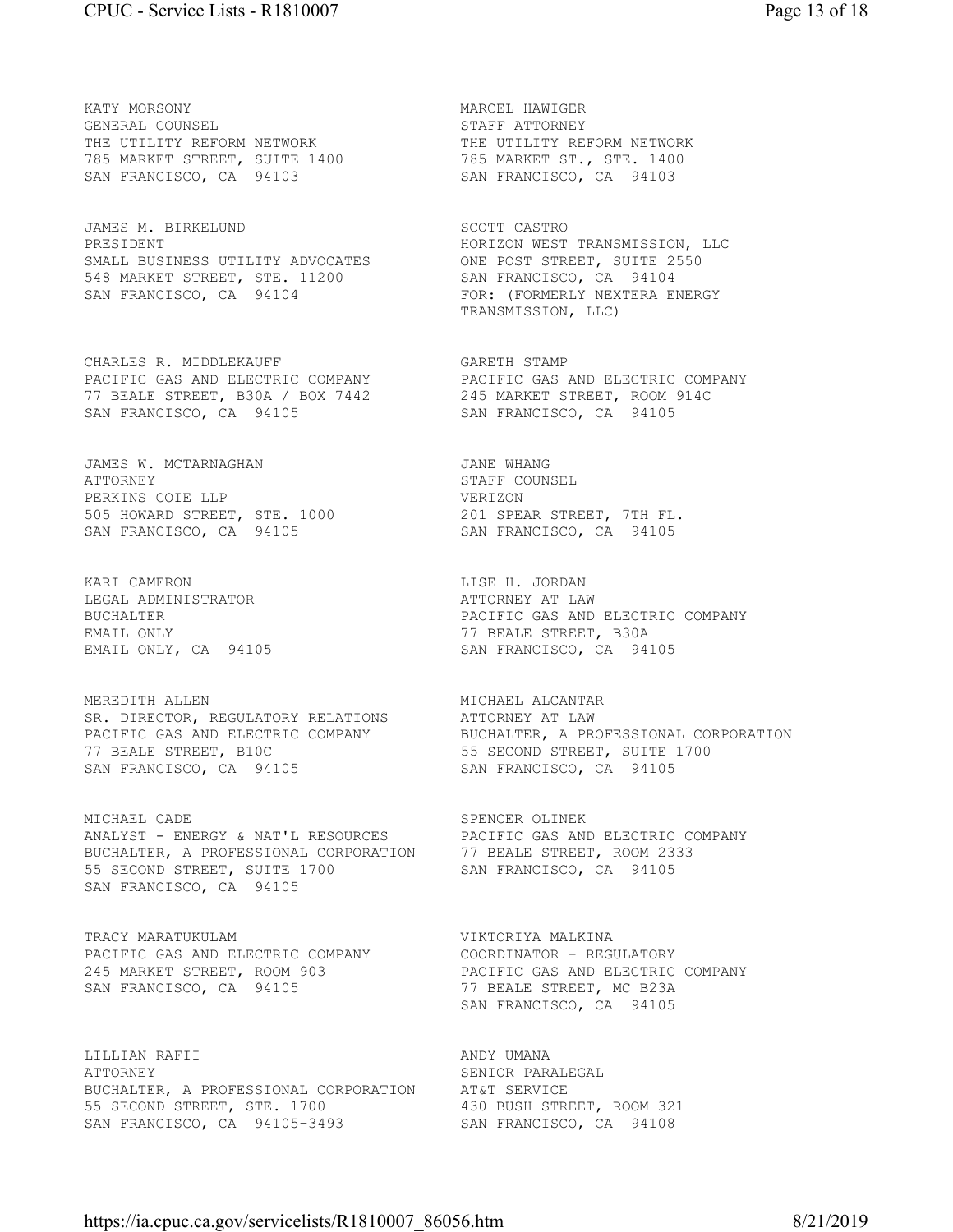KATY MORSONY MARCEL HAWIGER GENERAL COUNSEL STAFF ATTORNEY THE UTILITY REFORM NETWORK THE UTILITY REFORM NETWORK 785 MARKET STREET, SUITE 1400 785 MARKET ST., STE. 1400 SAN FRANCISCO, CA 94103 SAN FRANCISCO, CA 94103

JAMES M. BIRKELUND SCOTT CASTRO PRESIDENT FORESIDENT HORIZON WEST TRANSMISSION, LLC SMALL BUSINESS UTILITY ADVOCATES ONE POST STREET, SUITE 2550 548 MARKET STREET, STE. 11200 SAN FRANCISCO, CA 94104

CHARLES R. MIDDLEKAUFF GARETH STAMP PACIFIC GAS AND ELECTRIC COMPANY PACIFIC GAS AND ELECTRIC COMPANY 77 BEALE STREET, B30A / BOX 7442 245 MARKET STREET, ROOM 914C SAN FRANCISCO, CA 94105 SAN FRANCISCO, CA 94105

JAMES W. MCTARNAGHAN **JAME WHANG** ATTORNEY STAFF COUNSEL PERKINS COIE LLP VERIZON 505 HOWARD STREET, STE. 1000 201 SPEAR STREET, 7TH FL.

KARI CAMERON **LISE H. JORDAN** LEGAL ADMINISTRATOR **ATTORNEY AT LAW** 

MEREDITH ALLEN **MICHAEL ALCANTAR** SR. DIRECTOR, REGULATORY RELATIONS ATTORNEY AT LAW 77 BEALE STREET, B10C 655 SECOND STREET, SUITE 1700 SAN FRANCISCO, CA 94105 SAN FRANCISCO, CA 94105

MICHAEL CADE **SPENCER** OLINEK ANALYST - ENERGY & NAT'L RESOURCES PACIFIC GAS AND ELECTRIC COMPANY BUCHALTER, A PROFESSIONAL CORPORATION 77 BEALE STREET, ROOM 2333 55 SECOND STREET, SUITE 1700 SAN FRANCISCO, CA 94105 SAN FRANCISCO, CA 94105

TRACY MARATUKULAM **VIKTORIYA MALKINA** PACIFIC GAS AND ELECTRIC COMPANY COORDINATOR - REGULATORY SAN FRANCISCO, CA 94105 77 BEALE STREET, MC B23A

LILLIAN RAFII ANDY UMANA ATTORNEY SENIOR PARALEGAL BUCHALTER, A PROFESSIONAL CORPORATION AT&T SERVICE 55 SECOND STREET, STE. 1700 430 BUSH STREET, ROOM 321 55 SECOND STREET, STE. 1700 430 BUSH STREET, ROOM 32.<br>
SAN FRANCISCO, CA 94105-3493 SAN FRANCISCO, CA 94108

SAN FRANCISCO, CA 94104 FOR: (FORMERLY NEXTERA ENERGY TRANSMISSION, LLC)

SAN FRANCISCO, CA 94105 SAN FRANCISCO, CA 94105

BUCHALTER PACIFIC GAS AND ELECTRIC COMPANY EMAIL ONLY CA 94105 CONNECT TO SAN FRANCISCO, CA 941 EMAIL ONLY, CA 94105 SAN FRANCISCO, CA 94105

PACIFIC GAS AND ELECTRIC COMPANY BUCHALTER, A PROFESSIONAL CORPORATION

245 MARKET STREET, ROOM 903 PACIFIC GAS AND ELECTRIC COMPANY SAN FRANCISCO, CA 94105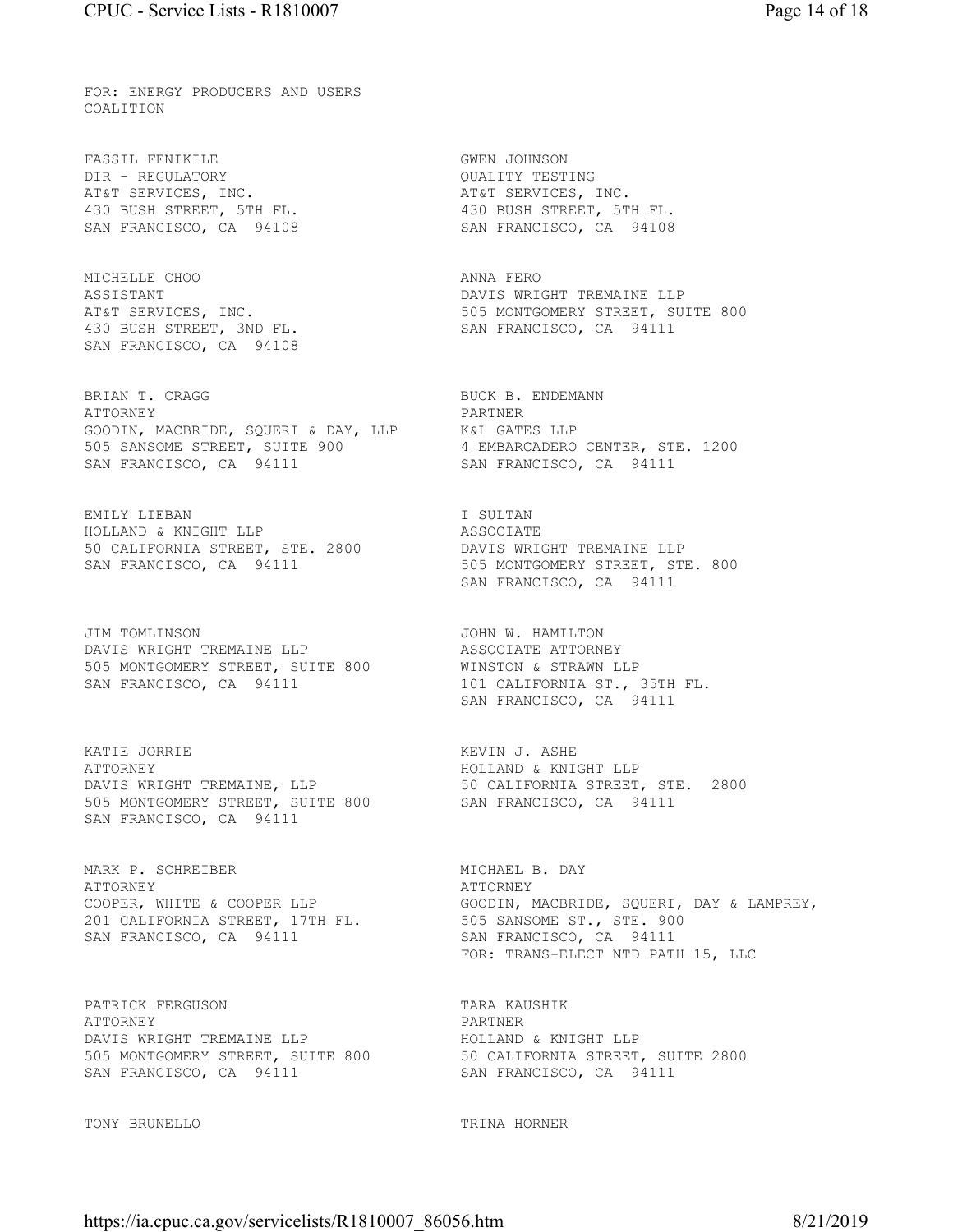FOR: ENERGY PRODUCERS AND USERS COALITION

FASSIL FENIKILE **GWEN** JOHNSON DIR - REGULATORY QUALITY TESTING AT&T SERVICES, INC. THE SERVICES, INC. 430 BUSH STREET, 5TH FL. 430 BUSH STREET, 5TH FL.

MICHELLE CHOO ANNA FERO 430 BUSH STREET, 3ND FL. SAN FRANCISCO, CA 94111 SAN FRANCISCO, CA 94108

BRIAN T. CRAGG BUCK B. ENDEMANN ATTORNEY PARTNER GOODIN, MACBRIDE, SQUERI & DAY, LLP K&L GATES LLP 505 SANSOME STREET, SUITE 900 4 EMBARCADERO CENTER, STE. 1200 SAN FRANCISCO, CA 94111 SAN FRANCISCO, CA 94111

EMILY LIEBAN **I** SULTAN HOLLAND & KNIGHT LLP ASSOCIATE 50 CALIFORNIA STREET, STE. 2800 DAVIS WRIGHT TREMAINE LLP

JIM TOMLINSON JOHN W. HAMILTON DAVIS WRIGHT TREMAINE LLP **ASSOCIATE ATTORNEY** 505 MONTGOMERY STREET, SUITE 800 WINSTON & STRAWN LLP SAN FRANCISCO, CA 94111 101 CALIFORNIA ST., 35TH FL.

KATIE JORRIE NAME EN SOLLET EN SOLL EN KEVIN J. ASHE ATTORNEY ATTORNEY HOLLAND & KNIGHT LLP 505 MONTGOMERY STREET, SUITE 800 SAN FRANCISCO, CA 94111 SAN FRANCISCO, CA 94111

MARK P. SCHREIBER MICHAEL B. DAY ATTORNEY ATTORNEY ATTORNEY 201 CALIFORNIA STREET, 17TH FL. 505 SANSOME ST., STE. 900

PATRICK FERGUSON TARA KAUSHIK ATTORNEY PARTNER DAVIS WRIGHT TREMAINE LLP **HOLLAND & KNIGHT LLP** SAN FRANCISCO, CA 94111 SAN FRANCISCO, CA 94111

TONY BRUNELLO TRINA HORNER

SAN FRANCISCO, CA 94108 SAN FRANCISCO, CA 94108

ASSISTANT DAVIS WRIGHT TREMAINE LLP AT&T SERVICES, INC. THE SERVICES INC.

SAN FRANCISCO, CA 94111 505 MONTGOMERY STREET, STE. 800 SAN FRANCISCO, CA 94111

SAN FRANCISCO, CA 94111

50 CALIFORNIA STREET, STE. 2800<br>SAN FRANCISCO, CA 94111

COOPER, WHITE & COOPER LLP GOODIN, MACBRIDE, SQUERI, DAY & LAMPREY, SAN FRANCISCO, CA 94111 SAN FRANCISCO, CA 94111 FOR: TRANS-ELECT NTD PATH 15, LLC

505 MONTGOMERY STREET, SUITE 800 50 CALIFORNIA STREET, SUITE 2800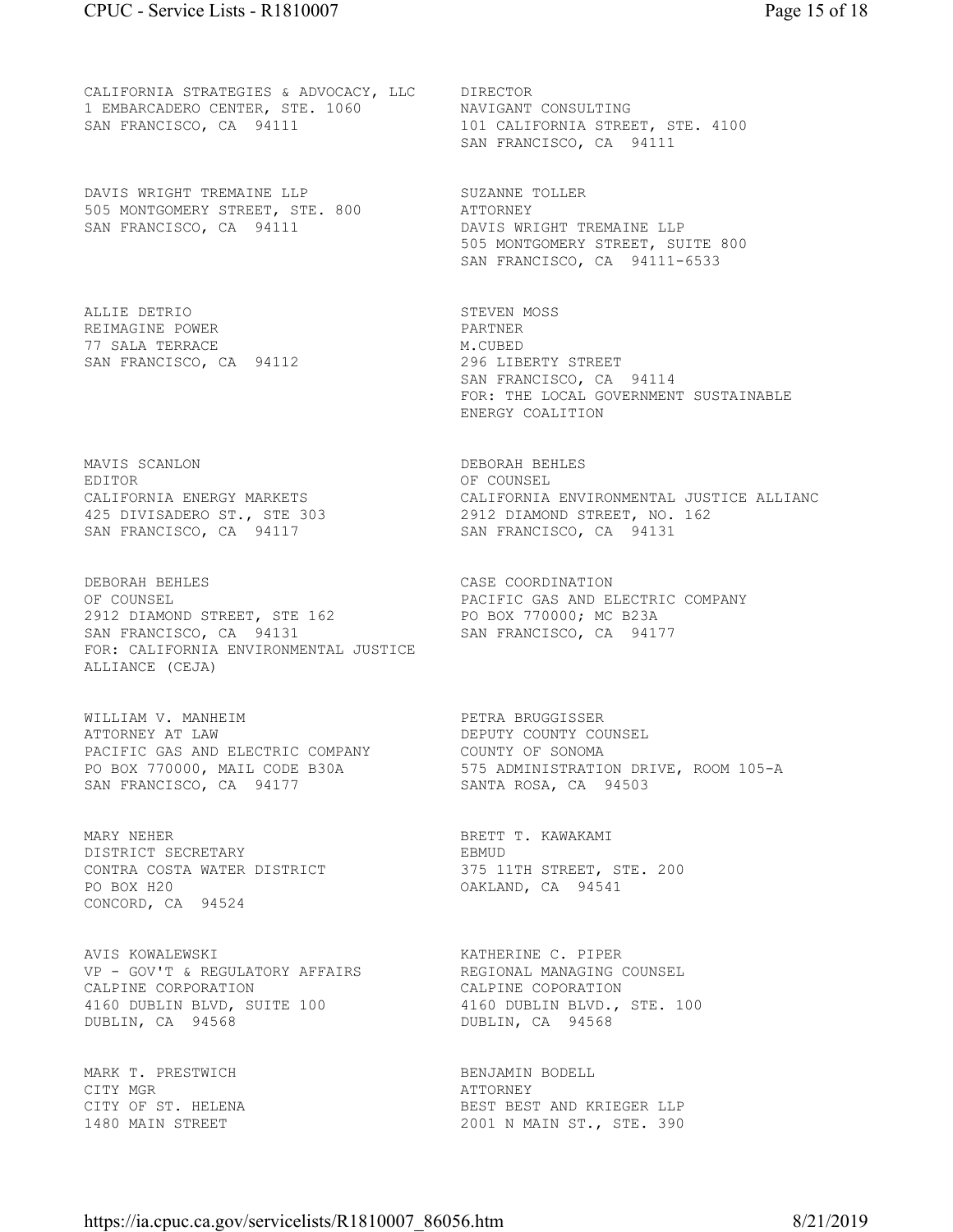CALIFORNIA STRATEGIES & ADVOCACY, LLC DIRECTOR 1 EMBARCADERO CENTER, STE. 1060 NAVIGANT CONSULTING SAN FRANCISCO, CA 94111 101 CALIFORNIA STREET, STE. 4100

DAVIS WRIGHT TREMAINE LLP SUZANNE TOLLER 505 MONTGOMERY STREET, STE. 800 ATTORNEY

ALLIE DETRIO STEVEN MOSS REIMAGINE POWER PARTNER PARTNER 77 SALA TERRACE M.CUBED SAN FRANCISCO, CA 94112

MAVIS SCANLON DEBORAH BEHLES EDITOR COUNSEL

DEBORAH BEHLES CASE COORDINATION OF COUNSEL CONPANY COUNSEL PACIFIC GAS AND ELECTRIC COMPANY PACIFIC GAS AND ELECTRIC COMPANY 2912 DIAMOND STREET, STE 162 PO BOX 770000; MC B23A SAN FRANCISCO, CA 94131 SAN FRANCISCO, CA 94177 FOR: CALIFORNIA ENVIRONMENTAL JUSTICE ALLIANCE (CEJA)

WILLIAM V. MANHEIM PETRA BRUGGISSER ATTORNEY AT LAW **DEPUTY COUNTY COUNSEL** PACIFIC GAS AND ELECTRIC COMPANY COUNTY OF SONOMA SAN FRANCISCO, CA 94177 SANTA ROSA, CA 94503

MARY NEHER BRETT T. KAWAKAMI DISTRICT SECRETARY **EBMUD** CONTRA COSTA WATER DISTRICT 375 11TH STREET, STE. 200 PO BOX H20 OAKLAND, CA 94541 CONCORD, CA 94524

AVIS KOWALEWSKI KATHERINE C. PIPER VP - GOV'T & REGULATORY AFFAIRS REGIONAL MANAGING COUNSEL CALPINE CORPORATION CALPINE COPORATION 4160 DUBLIN BLVD, SUITE 100 4160 DUBLIN BLVD., STE. 100 DUBLIN, CA 94568 DUBLIN, CA 94568

MARK T. PRESTWICH BENJAMIN BODELL CITY MGR ATTORNEY

SAN FRANCISCO, CA 94111

SAN FRANCISCO, CA 94111 DAVIS WRIGHT TREMAINE LLP 505 MONTGOMERY STREET, SUITE 800 SAN FRANCISCO, CA 94111-6533

> SAN FRANCISCO, CA 94114 FOR: THE LOCAL GOVERNMENT SUSTAINABLE ENERGY COALITION

CALIFORNIA ENERGY MARKETS CALIFORNIA ENVIRONMENTAL JUSTICE ALLIANC 425 DIVISADERO ST., STE 303 2912 DIAMOND STREET, NO. 162 SAN FRANCISCO, CA 94117 SAN FRANCISCO, CA 94131

PO BOX 770000, MAIL CODE B30A 575 ADMINISTRATION DRIVE, ROOM 105-A

BEST BEST AND KRIEGER LLP 1480 MAIN STREET 2001 N MAIN ST., STE. 390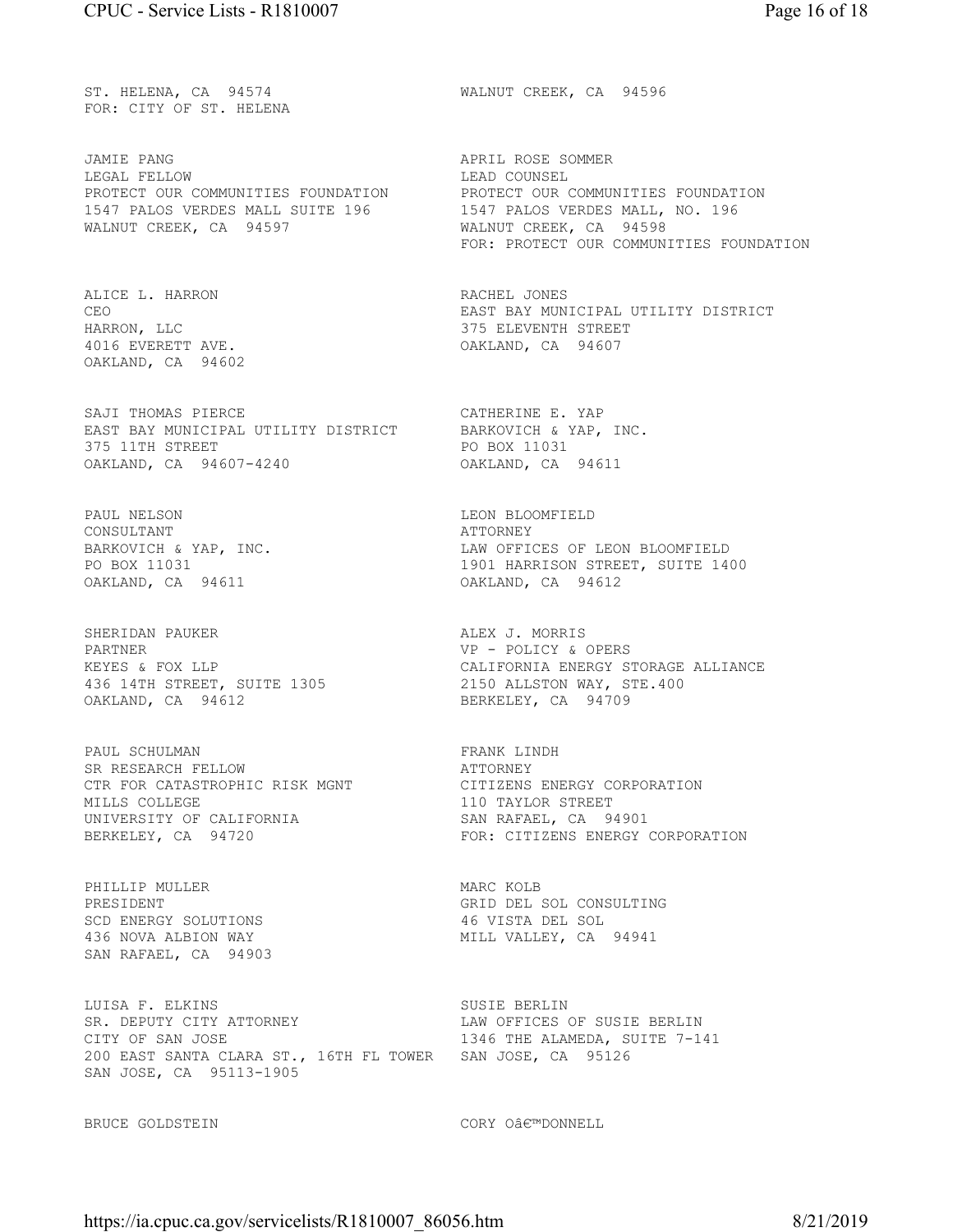FOR: CITY OF ST. HELENA

JAMIE PANG APRIL ROSE SOMMER LEGAL FELLOW **EXECUTE:** LEAD COUNSEL 1547 PALOS VERDES MALL SUITE 196 1547 PALOS VERDES MALL, NO. 196 WALNUT CREEK, CA 94597 WALNUT CREEK, CA 94598

ALICE L. HARRON RACHEL JONES 4016 EVERETT AVE. OAKLAND, CA 94607 OAKLAND, CA 94602

SAJI THOMAS PIERCE THE CATHERINE E. YAP EAST BAY MUNICIPAL UTILITY DISTRICT BARKOVICH & YAP, INC. 375 11TH STREET **PO BOX 11031** OAKLAND, CA 94607-4240 OAKLAND, CA 94611

PAUL NELSON DE DE DE DE DE LEON BLOOMFIELD CONSULTANT ATTORNEY OAKLAND, CA 94611 OAKLAND, CA 94612

SHERIDAN PAUKER **ALEX J. MORRIS** PARTNER VP - POLICY & OPERS KEYES & FOX LLP<br>436 14TH STREET, SUITE 1305<br>OAKLAND, CA 94612

PAUL SCHULMAN **FRANK LINDH** SR RESEARCH FELLOW **ATTORNEY** CTR FOR CATASTROPHIC RISK MGNT CITIZENS ENERGY CORPORATION MILLS COLLEGE 110 TAYLOR STREET UNIVERSITY OF CALIFORNIA SAN RAFAEL, CA 94901

PHILLIP MULLER MARC KOLB SAN RAFAEL, CA 94903

LUISA F. ELKINS SUSIE BERLIN SR. DEPUTY CITY ATTORNEY LAW OFFICES OF SUSIE BERLIN CITY OF SAN JOSE 1346 THE ALAMEDA, SUITE 7-141 200 EAST SANTA CLARA ST., 16TH FL TOWER SAN JOSE, CA 95126 SAN JOSE, CA 95113-1905

ST. HELENA, CA 94574 WALNUT CREEK, CA 94596

PROTECT OUR COMMUNITIES FOUNDATION PROTECT OUR COMMUNITIES FOUNDATION FOR: PROTECT OUR COMMUNITIES FOUNDATION

CEO EAST BAY MUNICIPAL UTILITY DISTRICT HARRON, LLC 375 ELEVENTH STREET

BARKOVICH & YAP, INC. LAW OFFICES OF LEON BLOOMFIELD 1901 HARRISON STREET, SUITE 1400

> CALIFORNIA ENERGY STORAGE ALLIANCE 2150 ALLSTON WAY, STE.400<br>BERKELEY, CA 94709

FOR: CITIZENS ENERGY CORPORATION

PRESIDENT GRID DEL SOL CONSULTING 46 VISTA DEL SOL 436 NOVA ALBION WAY **MILL VALLEY, CA** 94941

BRUCE GOLDSTEIN CORY O€™DONNELL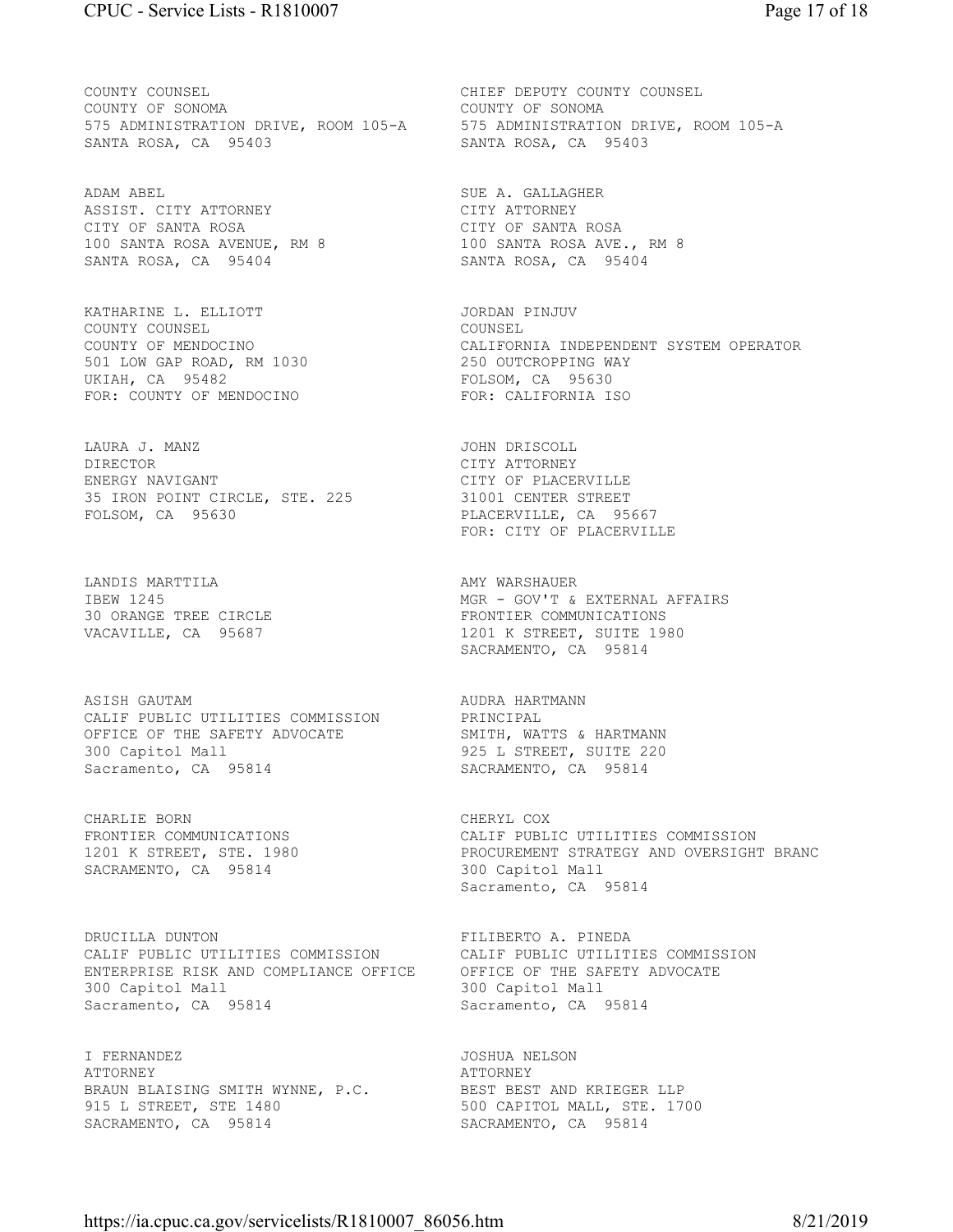COUNTY COUNSEL COUNTY COUNTY COUNTY COUNTY COUNTY COUNTY OF SONOMA COUNTY OF SONOMA COUNTY OF SONOMA SANTA ROSA, CA 95403 SANTA ROSA, CA 95403

ADAM ABEL SUE A. GALLAGHER ASSIST. CITY ATTORNEY CITY ATTORNEY CITY OF SANTA ROSA CITY OF SANTA ROSA 100 SANTA ROSA AVENUE, RM 8 100 SANTA ROSA AVE., RM 8 SANTA ROSA, CA 95404 SANTA ROSA, CA 95404

KATHARINE L. ELLIOTT **STATE AND STATE AND A STATE OF A STATE OF A STATE AND A** COUNTY COUNSEL COUNSEL 501 LOW GAP ROAD, RM 1030 250 OUTCROPPING WAY UKIAH, CA 95482 FOLSOM, CA 95630 FOR: COUNTY OF MENDOCINO FOR: CALIFORNIA ISO

LAURA J. MANZ JOHN DRISCOLL DIRECTOR CITY ATTORNEY ENERGY NAVIGANT CITY OF PLACERVILLE 35 IRON POINT CIRCLE, STE. 225 31001 CENTER STREET FOLSOM, CA 95630 PLACERVILLE, CA 95667

LANDIS MARTTILA **AMY WARSHAUER** 

ASISH GAUTAM AUDRA HARTMANN CALIF PUBLIC UTILITIES COMMISSION PRINCIPAL OFFICE OF THE SAFETY ADVOCATE SMITH, WATTS & HARTMANN 300 Capitol Mall 925 L STREET, SUITE 220 Sacramento, CA 95814 SACRAMENTO, CA 95814

CHARLIE BORN **CHERYL COX** SACRAMENTO, CA 95814 300 Capitol Mall

DRUCILLA DUNTON FILIBERTO A. PINEDA CALIF PUBLIC UTILITIES COMMISSION CALIF PUBLIC UTILITIES COMMISSION ENTERPRISE RISK AND COMPLIANCE OFFICE OFFICE OF THE SAFETY ADVOCATE 300 Capitol Mall 300 Capitol Mall Sacramento, CA 95814 Sacramento, CA 95814

I FERNANDEZ JOSHUA NELSON ATTORNEY ATTORNEY BRAUN BLAISING SMITH WYNNE, P.C. BEST BEST AND KRIEGER LLP 915 L STREET, STE 1480 500 CAPITOL MALL, STE. 1700 SACRAMENTO, CA 95814 SACRAMENTO, CA 95814

575 ADMINISTRATION DRIVE, ROOM 105-A 575 ADMINISTRATION DRIVE, ROOM 105-A

COUNTY OF MENDOCINO CALIFORNIA INDEPENDENT SYSTEM OPERATOR

FOR: CITY OF PLACERVILLE

IBEW 1245 MGR - GOV'T & EXTERNAL AFFAIRS 30 ORANGE TREE CIRCLE FRONTIER COMMUNICATIONS 1201 K STREET, SUITE 1980 SACRAMENTO, CA 95814

FRONTIER COMMUNICATIONS CALIF PUBLIC UTILITIES COMMISSION 1201 K STREET, STE. 1980 PROCUREMENT STRATEGY AND OVERSIGHT BRANC<br>SACRAMENTO, CA 95814 300 Capitol Mall Sacramento, CA 95814